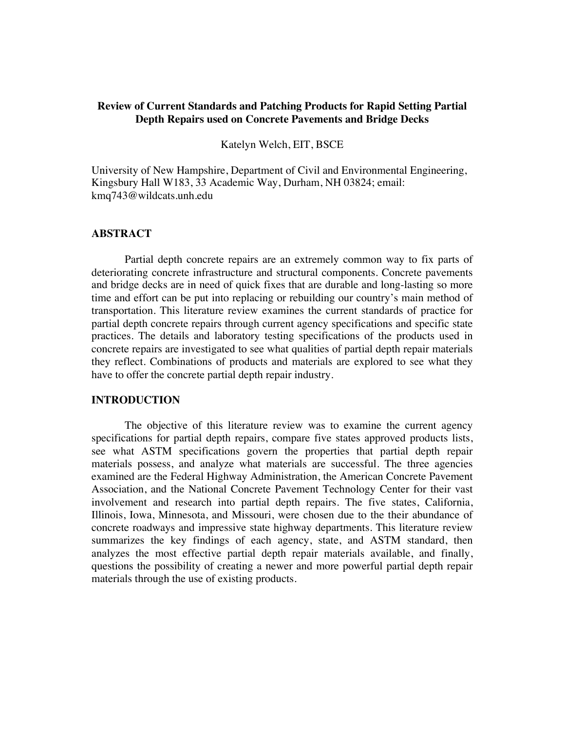### **Review of Current Standards and Patching Products for Rapid Setting Partial Depth Repairs used on Concrete Pavements and Bridge Decks**

#### Katelyn Welch, EIT, BSCE

University of New Hampshire, Department of Civil and Environmental Engineering, Kingsbury Hall W183, 33 Academic Way, Durham, NH 03824; email: kmq743@wildcats.unh.edu

#### **ABSTRACT**

Partial depth concrete repairs are an extremely common way to fix parts of deteriorating concrete infrastructure and structural components. Concrete pavements and bridge decks are in need of quick fixes that are durable and long-lasting so more time and effort can be put into replacing or rebuilding our country's main method of transportation. This literature review examines the current standards of practice for partial depth concrete repairs through current agency specifications and specific state practices. The details and laboratory testing specifications of the products used in concrete repairs are investigated to see what qualities of partial depth repair materials they reflect. Combinations of products and materials are explored to see what they have to offer the concrete partial depth repair industry.

#### **INTRODUCTION**

The objective of this literature review was to examine the current agency specifications for partial depth repairs, compare five states approved products lists, see what ASTM specifications govern the properties that partial depth repair materials possess, and analyze what materials are successful. The three agencies examined are the Federal Highway Administration, the American Concrete Pavement Association, and the National Concrete Pavement Technology Center for their vast involvement and research into partial depth repairs. The five states, California, Illinois, Iowa, Minnesota, and Missouri, were chosen due to the their abundance of concrete roadways and impressive state highway departments. This literature review summarizes the key findings of each agency, state, and ASTM standard, then analyzes the most effective partial depth repair materials available, and finally, questions the possibility of creating a newer and more powerful partial depth repair materials through the use of existing products.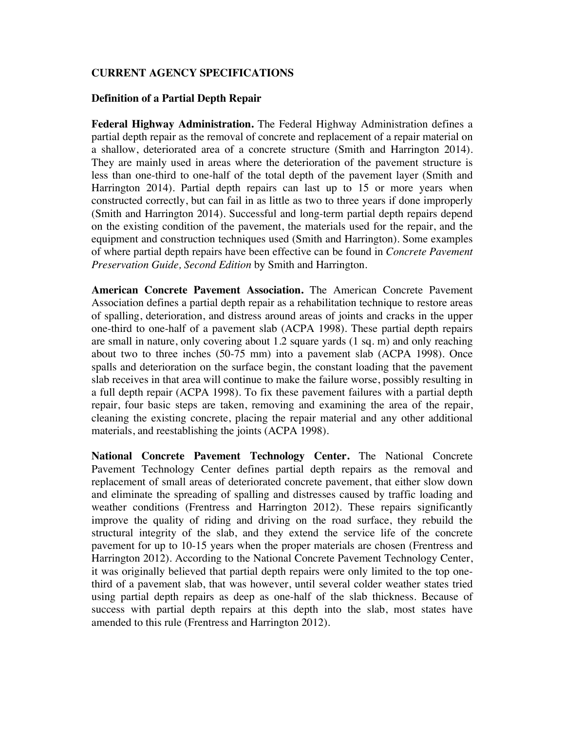## **CURRENT AGENCY SPECIFICATIONS**

### **Definition of a Partial Depth Repair**

**Federal Highway Administration.** The Federal Highway Administration defines a partial depth repair as the removal of concrete and replacement of a repair material on a shallow, deteriorated area of a concrete structure (Smith and Harrington 2014). They are mainly used in areas where the deterioration of the pavement structure is less than one-third to one-half of the total depth of the pavement layer (Smith and Harrington 2014). Partial depth repairs can last up to 15 or more years when constructed correctly, but can fail in as little as two to three years if done improperly (Smith and Harrington 2014). Successful and long-term partial depth repairs depend on the existing condition of the pavement, the materials used for the repair, and the equipment and construction techniques used (Smith and Harrington). Some examples of where partial depth repairs have been effective can be found in *Concrete Pavement Preservation Guide, Second Edition* by Smith and Harrington.

**American Concrete Pavement Association.** The American Concrete Pavement Association defines a partial depth repair as a rehabilitation technique to restore areas of spalling, deterioration, and distress around areas of joints and cracks in the upper one-third to one-half of a pavement slab (ACPA 1998). These partial depth repairs are small in nature, only covering about 1.2 square yards (1 sq. m) and only reaching about two to three inches (50-75 mm) into a pavement slab (ACPA 1998). Once spalls and deterioration on the surface begin, the constant loading that the pavement slab receives in that area will continue to make the failure worse, possibly resulting in a full depth repair (ACPA 1998). To fix these pavement failures with a partial depth repair, four basic steps are taken, removing and examining the area of the repair, cleaning the existing concrete, placing the repair material and any other additional materials, and reestablishing the joints (ACPA 1998).

**National Concrete Pavement Technology Center.** The National Concrete Pavement Technology Center defines partial depth repairs as the removal and replacement of small areas of deteriorated concrete pavement, that either slow down and eliminate the spreading of spalling and distresses caused by traffic loading and weather conditions (Frentress and Harrington 2012). These repairs significantly improve the quality of riding and driving on the road surface, they rebuild the structural integrity of the slab, and they extend the service life of the concrete pavement for up to 10-15 years when the proper materials are chosen (Frentress and Harrington 2012). According to the National Concrete Pavement Technology Center, it was originally believed that partial depth repairs were only limited to the top onethird of a pavement slab, that was however, until several colder weather states tried using partial depth repairs as deep as one-half of the slab thickness. Because of success with partial depth repairs at this depth into the slab, most states have amended to this rule (Frentress and Harrington 2012).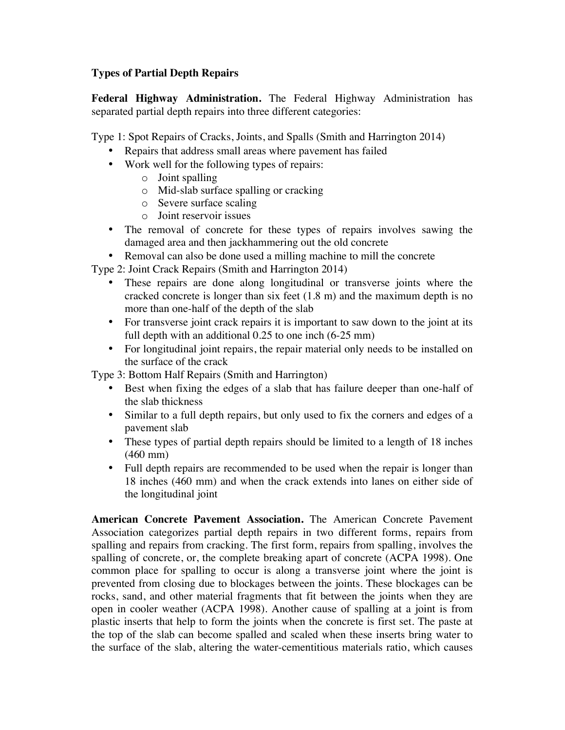# **Types of Partial Depth Repairs**

**Federal Highway Administration.** The Federal Highway Administration has separated partial depth repairs into three different categories:

Type 1: Spot Repairs of Cracks, Joints, and Spalls (Smith and Harrington 2014)

- Repairs that address small areas where pavement has failed
- Work well for the following types of repairs:
	- o Joint spalling
	- o Mid-slab surface spalling or cracking
	- o Severe surface scaling
	- o Joint reservoir issues
- The removal of concrete for these types of repairs involves sawing the damaged area and then jackhammering out the old concrete
- Removal can also be done used a milling machine to mill the concrete

Type 2: Joint Crack Repairs (Smith and Harrington 2014)

- These repairs are done along longitudinal or transverse joints where the cracked concrete is longer than six feet (1.8 m) and the maximum depth is no more than one-half of the depth of the slab
- For transverse joint crack repairs it is important to saw down to the joint at its full depth with an additional 0.25 to one inch (6-25 mm)
- For longitudinal joint repairs, the repair material only needs to be installed on the surface of the crack

Type 3: Bottom Half Repairs (Smith and Harrington)

- Best when fixing the edges of a slab that has failure deeper than one-half of the slab thickness
- Similar to a full depth repairs, but only used to fix the corners and edges of a pavement slab
- These types of partial depth repairs should be limited to a length of 18 inches (460 mm)
- Full depth repairs are recommended to be used when the repair is longer than 18 inches (460 mm) and when the crack extends into lanes on either side of the longitudinal joint

**American Concrete Pavement Association.** The American Concrete Pavement Association categorizes partial depth repairs in two different forms, repairs from spalling and repairs from cracking. The first form, repairs from spalling, involves the spalling of concrete, or, the complete breaking apart of concrete (ACPA 1998). One common place for spalling to occur is along a transverse joint where the joint is prevented from closing due to blockages between the joints. These blockages can be rocks, sand, and other material fragments that fit between the joints when they are open in cooler weather (ACPA 1998). Another cause of spalling at a joint is from plastic inserts that help to form the joints when the concrete is first set. The paste at the top of the slab can become spalled and scaled when these inserts bring water to the surface of the slab, altering the water-cementitious materials ratio, which causes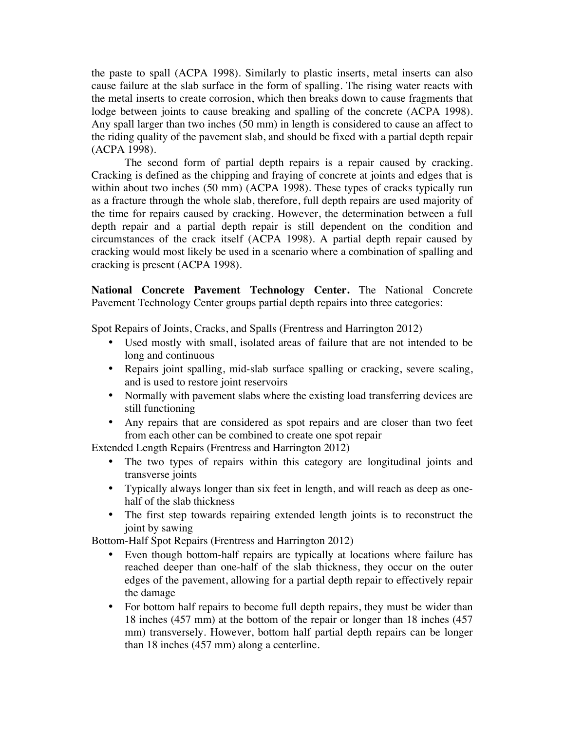the paste to spall (ACPA 1998). Similarly to plastic inserts, metal inserts can also cause failure at the slab surface in the form of spalling. The rising water reacts with the metal inserts to create corrosion, which then breaks down to cause fragments that lodge between joints to cause breaking and spalling of the concrete (ACPA 1998). Any spall larger than two inches (50 mm) in length is considered to cause an affect to the riding quality of the pavement slab, and should be fixed with a partial depth repair (ACPA 1998).

The second form of partial depth repairs is a repair caused by cracking. Cracking is defined as the chipping and fraying of concrete at joints and edges that is within about two inches (50 mm) (ACPA 1998). These types of cracks typically run as a fracture through the whole slab, therefore, full depth repairs are used majority of the time for repairs caused by cracking. However, the determination between a full depth repair and a partial depth repair is still dependent on the condition and circumstances of the crack itself (ACPA 1998). A partial depth repair caused by cracking would most likely be used in a scenario where a combination of spalling and cracking is present (ACPA 1998).

**National Concrete Pavement Technology Center.** The National Concrete Pavement Technology Center groups partial depth repairs into three categories:

Spot Repairs of Joints, Cracks, and Spalls (Frentress and Harrington 2012)

- Used mostly with small, isolated areas of failure that are not intended to be long and continuous
- Repairs joint spalling, mid-slab surface spalling or cracking, severe scaling, and is used to restore joint reservoirs
- Normally with pavement slabs where the existing load transferring devices are still functioning
- Any repairs that are considered as spot repairs and are closer than two feet from each other can be combined to create one spot repair

Extended Length Repairs (Frentress and Harrington 2012)

- The two types of repairs within this category are longitudinal joints and transverse joints
- Typically always longer than six feet in length, and will reach as deep as onehalf of the slab thickness
- The first step towards repairing extended length joints is to reconstruct the joint by sawing

Bottom-Half Spot Repairs (Frentress and Harrington 2012)

- Even though bottom-half repairs are typically at locations where failure has reached deeper than one-half of the slab thickness, they occur on the outer edges of the pavement, allowing for a partial depth repair to effectively repair the damage
- For bottom half repairs to become full depth repairs, they must be wider than 18 inches (457 mm) at the bottom of the repair or longer than 18 inches (457 mm) transversely. However, bottom half partial depth repairs can be longer than 18 inches (457 mm) along a centerline.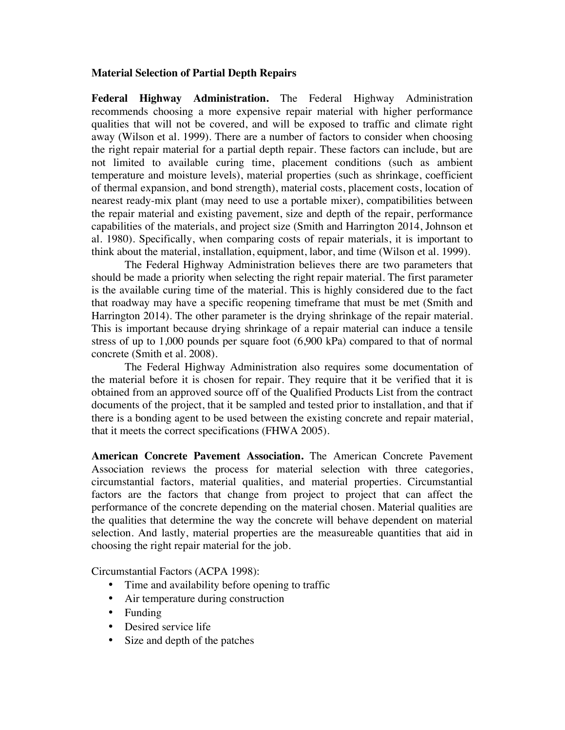#### **Material Selection of Partial Depth Repairs**

**Federal Highway Administration.** The Federal Highway Administration recommends choosing a more expensive repair material with higher performance qualities that will not be covered, and will be exposed to traffic and climate right away (Wilson et al. 1999). There are a number of factors to consider when choosing the right repair material for a partial depth repair. These factors can include, but are not limited to available curing time, placement conditions (such as ambient temperature and moisture levels), material properties (such as shrinkage, coefficient of thermal expansion, and bond strength), material costs, placement costs, location of nearest ready-mix plant (may need to use a portable mixer), compatibilities between the repair material and existing pavement, size and depth of the repair, performance capabilities of the materials, and project size (Smith and Harrington 2014, Johnson et al. 1980). Specifically, when comparing costs of repair materials, it is important to think about the material, installation, equipment, labor, and time (Wilson et al. 1999).

The Federal Highway Administration believes there are two parameters that should be made a priority when selecting the right repair material. The first parameter is the available curing time of the material. This is highly considered due to the fact that roadway may have a specific reopening timeframe that must be met (Smith and Harrington 2014). The other parameter is the drying shrinkage of the repair material. This is important because drying shrinkage of a repair material can induce a tensile stress of up to 1,000 pounds per square foot (6,900 kPa) compared to that of normal concrete (Smith et al. 2008).

The Federal Highway Administration also requires some documentation of the material before it is chosen for repair. They require that it be verified that it is obtained from an approved source off of the Qualified Products List from the contract documents of the project, that it be sampled and tested prior to installation, and that if there is a bonding agent to be used between the existing concrete and repair material, that it meets the correct specifications (FHWA 2005).

**American Concrete Pavement Association.** The American Concrete Pavement Association reviews the process for material selection with three categories, circumstantial factors, material qualities, and material properties. Circumstantial factors are the factors that change from project to project that can affect the performance of the concrete depending on the material chosen. Material qualities are the qualities that determine the way the concrete will behave dependent on material selection. And lastly, material properties are the measureable quantities that aid in choosing the right repair material for the job.

Circumstantial Factors (ACPA 1998):

- Time and availability before opening to traffic
- Air temperature during construction
- Funding
- Desired service life
- Size and depth of the patches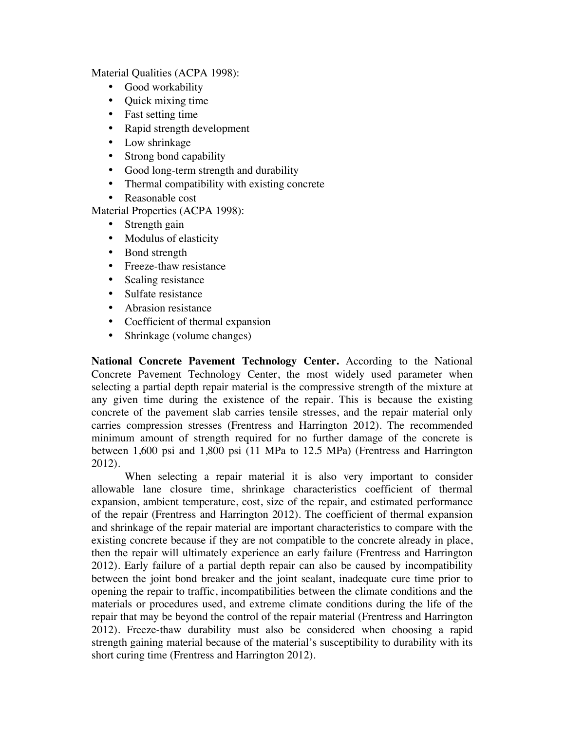Material Qualities (ACPA 1998):

- Good workability
- Quick mixing time
- Fast setting time
- Rapid strength development
- Low shrinkage
- Strong bond capability
- Good long-term strength and durability
- Thermal compatibility with existing concrete
- Reasonable cost
- Material Properties (ACPA 1998):
	- Strength gain
	- Modulus of elasticity
	- Bond strength
	- Freeze-thaw resistance
	- Scaling resistance
	- Sulfate resistance
	- Abrasion resistance
	- Coefficient of thermal expansion
	- Shrinkage (volume changes)

**National Concrete Pavement Technology Center.** According to the National Concrete Pavement Technology Center, the most widely used parameter when selecting a partial depth repair material is the compressive strength of the mixture at any given time during the existence of the repair. This is because the existing concrete of the pavement slab carries tensile stresses, and the repair material only carries compression stresses (Frentress and Harrington 2012). The recommended minimum amount of strength required for no further damage of the concrete is between 1,600 psi and 1,800 psi (11 MPa to 12.5 MPa) (Frentress and Harrington 2012).

When selecting a repair material it is also very important to consider allowable lane closure time, shrinkage characteristics coefficient of thermal expansion, ambient temperature, cost, size of the repair, and estimated performance of the repair (Frentress and Harrington 2012). The coefficient of thermal expansion and shrinkage of the repair material are important characteristics to compare with the existing concrete because if they are not compatible to the concrete already in place, then the repair will ultimately experience an early failure (Frentress and Harrington 2012). Early failure of a partial depth repair can also be caused by incompatibility between the joint bond breaker and the joint sealant, inadequate cure time prior to opening the repair to traffic, incompatibilities between the climate conditions and the materials or procedures used, and extreme climate conditions during the life of the repair that may be beyond the control of the repair material (Frentress and Harrington 2012). Freeze-thaw durability must also be considered when choosing a rapid strength gaining material because of the material's susceptibility to durability with its short curing time (Frentress and Harrington 2012).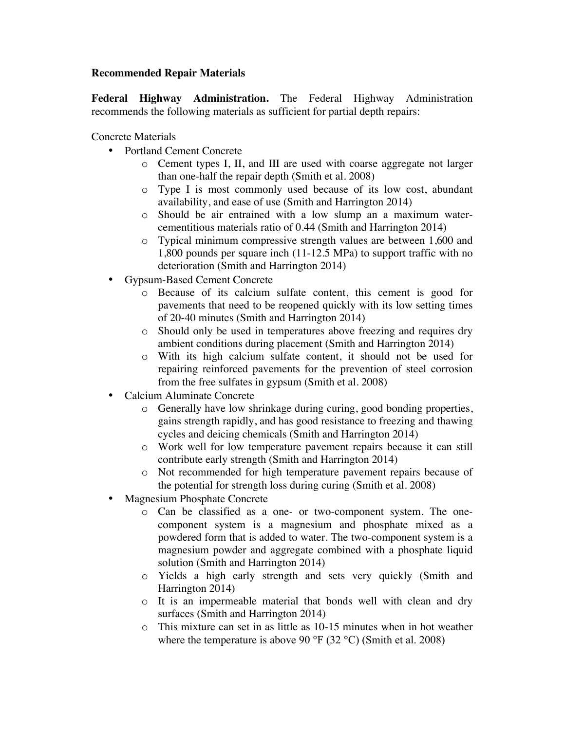## **Recommended Repair Materials**

**Federal Highway Administration.** The Federal Highway Administration recommends the following materials as sufficient for partial depth repairs:

Concrete Materials

- Portland Cement Concrete
	- o Cement types I, II, and III are used with coarse aggregate not larger than one-half the repair depth (Smith et al. 2008)
	- o Type I is most commonly used because of its low cost, abundant availability, and ease of use (Smith and Harrington 2014)
	- o Should be air entrained with a low slump an a maximum watercementitious materials ratio of 0.44 (Smith and Harrington 2014)
	- o Typical minimum compressive strength values are between 1,600 and 1,800 pounds per square inch (11-12.5 MPa) to support traffic with no deterioration (Smith and Harrington 2014)
- Gypsum-Based Cement Concrete
	- o Because of its calcium sulfate content, this cement is good for pavements that need to be reopened quickly with its low setting times of 20-40 minutes (Smith and Harrington 2014)
	- o Should only be used in temperatures above freezing and requires dry ambient conditions during placement (Smith and Harrington 2014)
	- o With its high calcium sulfate content, it should not be used for repairing reinforced pavements for the prevention of steel corrosion from the free sulfates in gypsum (Smith et al. 2008)
- Calcium Aluminate Concrete
	- o Generally have low shrinkage during curing, good bonding properties, gains strength rapidly, and has good resistance to freezing and thawing cycles and deicing chemicals (Smith and Harrington 2014)
	- o Work well for low temperature pavement repairs because it can still contribute early strength (Smith and Harrington 2014)
	- o Not recommended for high temperature pavement repairs because of the potential for strength loss during curing (Smith et al. 2008)
- Magnesium Phosphate Concrete
	- o Can be classified as a one- or two-component system. The onecomponent system is a magnesium and phosphate mixed as a powdered form that is added to water. The two-component system is a magnesium powder and aggregate combined with a phosphate liquid solution (Smith and Harrington 2014)
	- o Yields a high early strength and sets very quickly (Smith and Harrington 2014)
	- o It is an impermeable material that bonds well with clean and dry surfaces (Smith and Harrington 2014)
	- o This mixture can set in as little as 10-15 minutes when in hot weather where the temperature is above 90  $\mathrm{^{\circ}F}$  (32  $\mathrm{^{\circ}C}$ ) (Smith et al. 2008)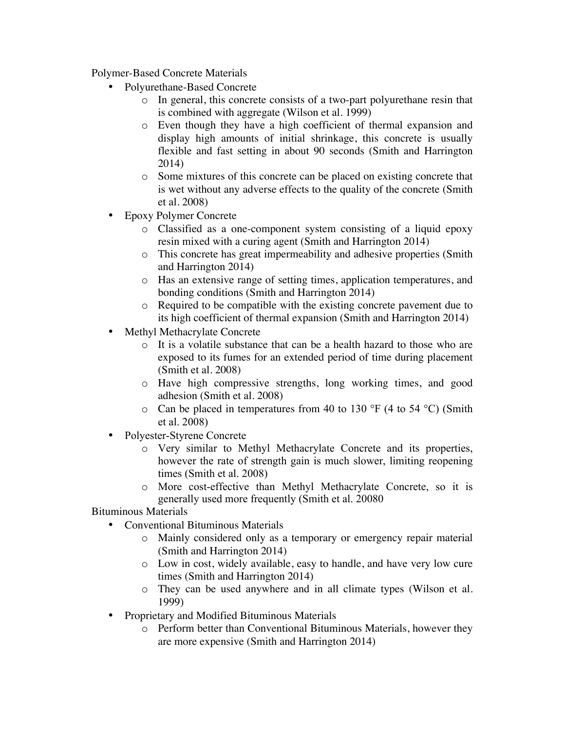Polymer-Based Concrete Materials

- Polyurethane-Based Concrete
	- o In general, this concrete consists of a two-part polyurethane resin that is combined with aggregate (Wilson et al. 1999)
	- o Even though they have a high coefficient of thermal expansion and display high amounts of initial shrinkage, this concrete is usually flexible and fast setting in about 90 seconds (Smith and Harrington 2014)
	- o Some mixtures of this concrete can be placed on existing concrete that is wet without any adverse effects to the quality of the concrete (Smith et al. 2008)
- Epoxy Polymer Concrete
	- o Classified as a one-component system consisting of a liquid epoxy resin mixed with a curing agent (Smith and Harrington 2014)
	- o This concrete has great impermeability and adhesive properties (Smith and Harrington 2014)
	- o Has an extensive range of setting times, application temperatures, and bonding conditions (Smith and Harrington 2014)
	- o Required to be compatible with the existing concrete pavement due to its high coefficient of thermal expansion (Smith and Harrington 2014)
- Methyl Methacrylate Concrete
	- o It is a volatile substance that can be a health hazard to those who are exposed to its fumes for an extended period of time during placement (Smith et al. 2008)
	- o Have high compressive strengths, long working times, and good adhesion (Smith et al. 2008)
	- $\circ$  Can be placed in temperatures from 40 to 130 °F (4 to 54 °C) (Smith et al. 2008)
- Polyester-Styrene Concrete
	- o Very similar to Methyl Methacrylate Concrete and its properties, however the rate of strength gain is much slower, limiting reopening times (Smith et al. 2008)
	- o More cost-effective than Methyl Methacrylate Concrete, so it is generally used more frequently (Smith et al. 20080

# Bituminous Materials

- Conventional Bituminous Materials
	- o Mainly considered only as a temporary or emergency repair material (Smith and Harrington 2014)
	- o Low in cost, widely available, easy to handle, and have very low cure times (Smith and Harrington 2014)
	- o They can be used anywhere and in all climate types (Wilson et al. 1999)
- Proprietary and Modified Bituminous Materials
	- Perform better than Conventional Bituminous Materials, however they are more expensive (Smith and Harrington 2014)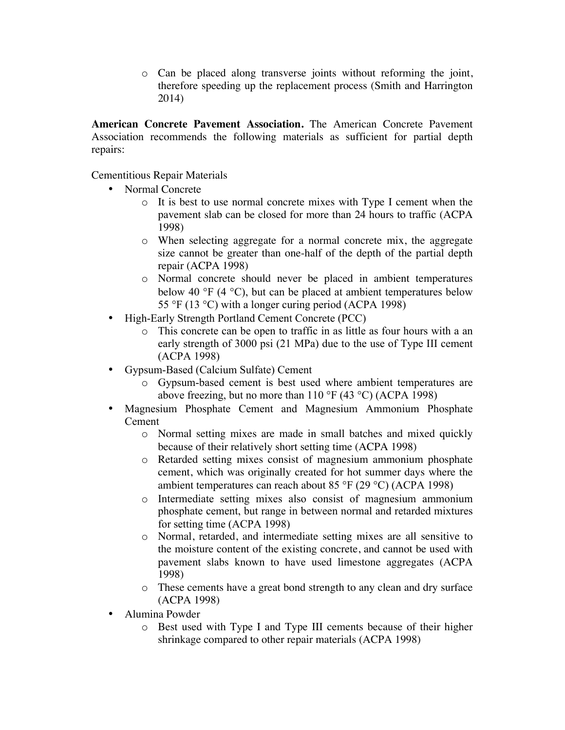o Can be placed along transverse joints without reforming the joint, therefore speeding up the replacement process (Smith and Harrington 2014)

**American Concrete Pavement Association.** The American Concrete Pavement Association recommends the following materials as sufficient for partial depth repairs:

Cementitious Repair Materials

- Normal Concrete
	- o It is best to use normal concrete mixes with Type I cement when the pavement slab can be closed for more than 24 hours to traffic (ACPA 1998)
	- o When selecting aggregate for a normal concrete mix, the aggregate size cannot be greater than one-half of the depth of the partial depth repair (ACPA 1998)
	- o Normal concrete should never be placed in ambient temperatures below 40 °F (4 °C), but can be placed at ambient temperatures below 55 °F (13 °C) with a longer curing period (ACPA 1998)
- High-Early Strength Portland Cement Concrete (PCC)
	- o This concrete can be open to traffic in as little as four hours with a an early strength of 3000 psi (21 MPa) due to the use of Type III cement (ACPA 1998)
- Gypsum-Based (Calcium Sulfate) Cement
	- o Gypsum-based cement is best used where ambient temperatures are above freezing, but no more than 110 °F (43 °C) (ACPA 1998)
- Magnesium Phosphate Cement and Magnesium Ammonium Phosphate Cement
	- o Normal setting mixes are made in small batches and mixed quickly because of their relatively short setting time (ACPA 1998)
	- o Retarded setting mixes consist of magnesium ammonium phosphate cement, which was originally created for hot summer days where the ambient temperatures can reach about 85 °F (29 °C) (ACPA 1998)
	- o Intermediate setting mixes also consist of magnesium ammonium phosphate cement, but range in between normal and retarded mixtures for setting time (ACPA 1998)
	- o Normal, retarded, and intermediate setting mixes are all sensitive to the moisture content of the existing concrete, and cannot be used with pavement slabs known to have used limestone aggregates (ACPA 1998)
	- o These cements have a great bond strength to any clean and dry surface (ACPA 1998)
- Alumina Powder
	- o Best used with Type I and Type III cements because of their higher shrinkage compared to other repair materials (ACPA 1998)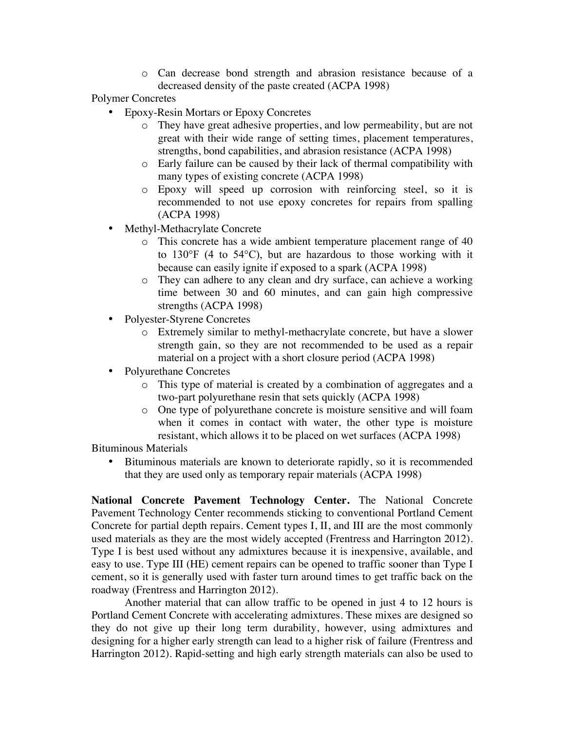o Can decrease bond strength and abrasion resistance because of a decreased density of the paste created (ACPA 1998)

Polymer Concretes

- Epoxy-Resin Mortars or Epoxy Concretes
	- o They have great adhesive properties, and low permeability, but are not great with their wide range of setting times, placement temperatures, strengths, bond capabilities, and abrasion resistance (ACPA 1998)
	- o Early failure can be caused by their lack of thermal compatibility with many types of existing concrete (ACPA 1998)
	- o Epoxy will speed up corrosion with reinforcing steel, so it is recommended to not use epoxy concretes for repairs from spalling (ACPA 1998)
- Methyl-Methacrylate Concrete
	- This concrete has a wide ambient temperature placement range of 40 to 130°F (4 to 54°C), but are hazardous to those working with it because can easily ignite if exposed to a spark (ACPA 1998)
	- o They can adhere to any clean and dry surface, can achieve a working time between 30 and 60 minutes, and can gain high compressive strengths (ACPA 1998)
- Polyester-Styrene Concretes
	- o Extremely similar to methyl-methacrylate concrete, but have a slower strength gain, so they are not recommended to be used as a repair material on a project with a short closure period (ACPA 1998)
- Polyurethane Concretes
	- o This type of material is created by a combination of aggregates and a two-part polyurethane resin that sets quickly (ACPA 1998)
	- o One type of polyurethane concrete is moisture sensitive and will foam when it comes in contact with water, the other type is moisture resistant, which allows it to be placed on wet surfaces (ACPA 1998)

Bituminous Materials

• Bituminous materials are known to deteriorate rapidly, so it is recommended that they are used only as temporary repair materials (ACPA 1998)

**National Concrete Pavement Technology Center.** The National Concrete Pavement Technology Center recommends sticking to conventional Portland Cement Concrete for partial depth repairs. Cement types I, II, and III are the most commonly used materials as they are the most widely accepted (Frentress and Harrington 2012). Type I is best used without any admixtures because it is inexpensive, available, and easy to use. Type III (HE) cement repairs can be opened to traffic sooner than Type I cement, so it is generally used with faster turn around times to get traffic back on the roadway (Frentress and Harrington 2012).

Another material that can allow traffic to be opened in just 4 to 12 hours is Portland Cement Concrete with accelerating admixtures. These mixes are designed so they do not give up their long term durability, however, using admixtures and designing for a higher early strength can lead to a higher risk of failure (Frentress and Harrington 2012). Rapid-setting and high early strength materials can also be used to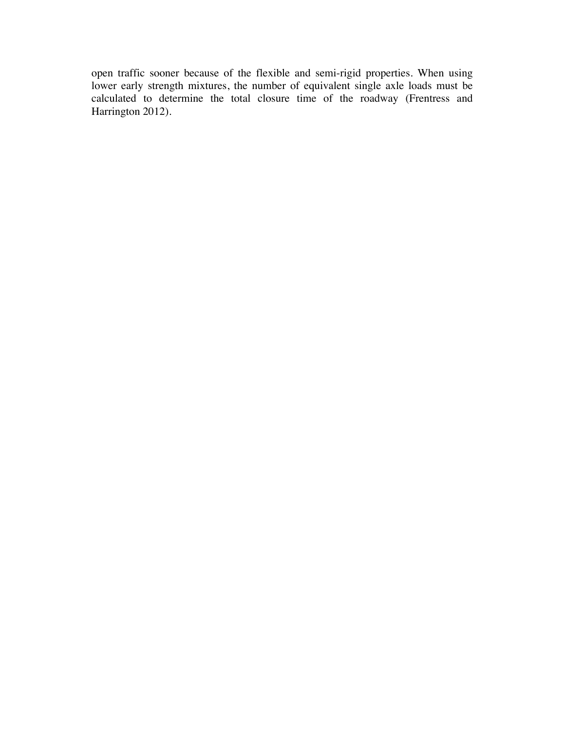open traffic sooner because of the flexible and semi-rigid properties. When using lower early strength mixtures, the number of equivalent single axle loads must be calculated to determine the total closure time of the roadway (Frentress and Harrington 2012).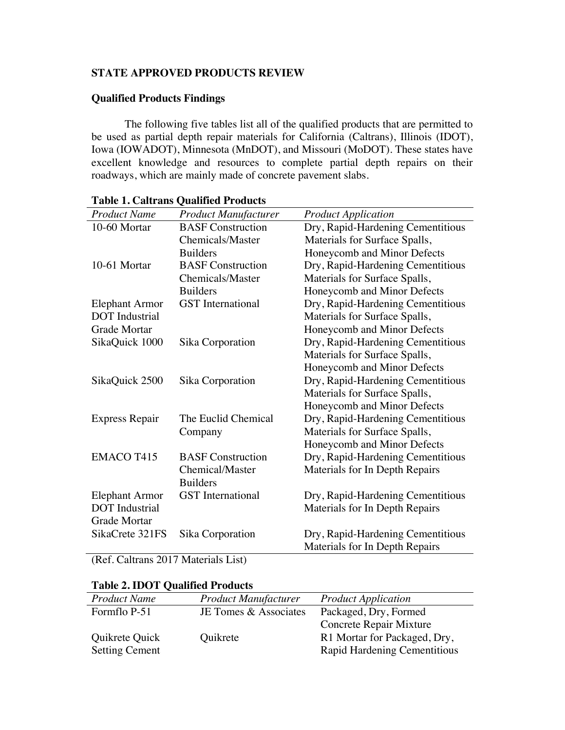## **STATE APPROVED PRODUCTS REVIEW**

# **Qualified Products Findings**

The following five tables list all of the qualified products that are permitted to be used as partial depth repair materials for California (Caltrans), Illinois (IDOT), Iowa (IOWADOT), Minnesota (MnDOT), and Missouri (MoDOT). These states have excellent knowledge and resources to complete partial depth repairs on their roadways, which are mainly made of concrete pavement slabs.

| <b>Product Name</b>   | <b>Product Manufacturer</b> | <b>Product Application</b>        |
|-----------------------|-----------------------------|-----------------------------------|
| 10-60 Mortar          | <b>BASF</b> Construction    | Dry, Rapid-Hardening Cementitious |
|                       | <b>Chemicals/Master</b>     | Materials for Surface Spalls,     |
|                       | <b>Builders</b>             | Honeycomb and Minor Defects       |
| 10-61 Mortar          | <b>BASF</b> Construction    | Dry, Rapid-Hardening Cementitious |
|                       | Chemicals/Master            | Materials for Surface Spalls,     |
|                       | <b>Builders</b>             | Honeycomb and Minor Defects       |
| <b>Elephant Armor</b> | <b>GST</b> International    | Dry, Rapid-Hardening Cementitious |
| <b>DOT</b> Industrial |                             | Materials for Surface Spalls,     |
| <b>Grade Mortar</b>   |                             | Honeycomb and Minor Defects       |
| SikaQuick 1000        | Sika Corporation            | Dry, Rapid-Hardening Cementitious |
|                       |                             | Materials for Surface Spalls,     |
|                       |                             | Honeycomb and Minor Defects       |
| SikaQuick 2500        | Sika Corporation            | Dry, Rapid-Hardening Cementitious |
|                       |                             | Materials for Surface Spalls,     |
|                       |                             | Honeycomb and Minor Defects       |
| <b>Express Repair</b> | The Euclid Chemical         | Dry, Rapid-Hardening Cementitious |
|                       | Company                     | Materials for Surface Spalls,     |
|                       |                             | Honeycomb and Minor Defects       |
| <b>EMACO T415</b>     | <b>BASF</b> Construction    | Dry, Rapid-Hardening Cementitious |
|                       | Chemical/Master             | Materials for In Depth Repairs    |
|                       | <b>Builders</b>             |                                   |
| <b>Elephant Armor</b> | <b>GST</b> International    | Dry, Rapid-Hardening Cementitious |
| <b>DOT</b> Industrial |                             | Materials for In Depth Repairs    |
| <b>Grade Mortar</b>   |                             |                                   |
| SikaCrete 321FS       | Sika Corporation            | Dry, Rapid-Hardening Cementitious |
|                       |                             | Materials for In Depth Repairs    |

### **Table 1. Caltrans Qualified Products**

(Ref. Caltrans 2017 Materials List)

| Table 2. IDO I Qualifica I Founcis |                             |                              |
|------------------------------------|-----------------------------|------------------------------|
| <b>Product Name</b>                | <b>Product Manufacturer</b> | <b>Product Application</b>   |
| Formflo P-51                       | JE Tomes & Associates       | Packaged, Dry, Formed        |
|                                    |                             | Concrete Repair Mixture      |
| Quikrete Quick                     | Quikrete                    | R1 Mortar for Packaged, Dry, |
| <b>Setting Cement</b>              |                             | Rapid Hardening Cementitious |

# **Table 2. IDOT Qualified Products**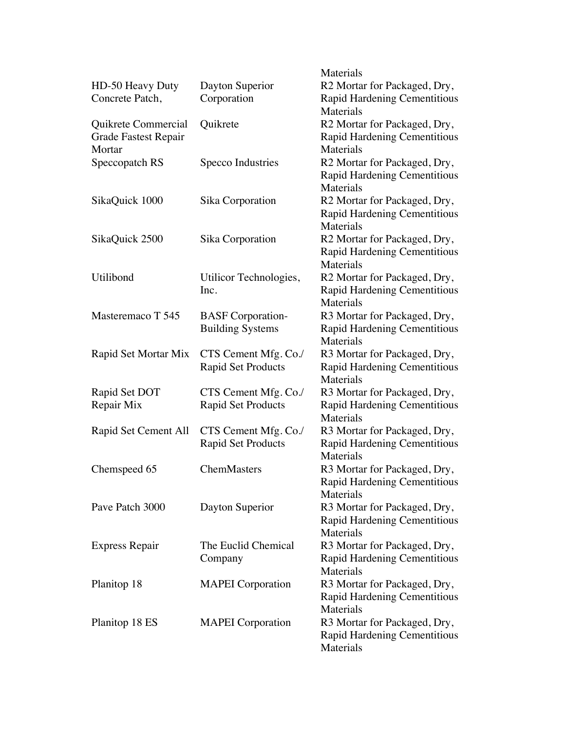|                       |                           | Materials                                 |
|-----------------------|---------------------------|-------------------------------------------|
| HD-50 Heavy Duty      | Dayton Superior           | R2 Mortar for Packaged, Dry,              |
| Concrete Patch,       | Corporation               | Rapid Hardening Cementitious              |
|                       |                           | Materials                                 |
| Quikrete Commercial   | Quikrete                  | R2 Mortar for Packaged, Dry,              |
| Grade Fastest Repair  |                           | Rapid Hardening Cementitious              |
| Mortar                |                           | Materials                                 |
| Speccopatch RS        | Specco Industries         | R2 Mortar for Packaged, Dry,              |
|                       |                           | Rapid Hardening Cementitious              |
|                       |                           | Materials                                 |
| SikaQuick 1000        | Sika Corporation          | R2 Mortar for Packaged, Dry,              |
|                       |                           | Rapid Hardening Cementitious              |
|                       |                           | Materials                                 |
| SikaQuick 2500        | Sika Corporation          | R2 Mortar for Packaged, Dry,              |
|                       |                           | <b>Rapid Hardening Cementitious</b>       |
|                       |                           | Materials                                 |
| Utilibond             | Utilicor Technologies,    | R2 Mortar for Packaged, Dry,              |
|                       | Inc.                      | <b>Rapid Hardening Cementitious</b>       |
|                       |                           | Materials                                 |
| Masteremaco T 545     | <b>BASF</b> Corporation-  | R3 Mortar for Packaged, Dry,              |
|                       | <b>Building Systems</b>   | Rapid Hardening Cementitious              |
|                       |                           | Materials                                 |
| Rapid Set Mortar Mix  | CTS Cement Mfg. Co./      | R3 Mortar for Packaged, Dry,              |
|                       | <b>Rapid Set Products</b> | Rapid Hardening Cementitious<br>Materials |
| Rapid Set DOT         | CTS Cement Mfg. Co./      | R3 Mortar for Packaged, Dry,              |
| Repair Mix            | <b>Rapid Set Products</b> | Rapid Hardening Cementitious              |
|                       |                           | Materials                                 |
| Rapid Set Cement All  | CTS Cement Mfg. Co./      | R3 Mortar for Packaged, Dry,              |
|                       | <b>Rapid Set Products</b> | Rapid Hardening Cementitious              |
|                       |                           | Materials                                 |
| Chemspeed 65          | ChemMasters               | R3 Mortar for Packaged, Dry,              |
|                       |                           | Rapid Hardening Cementitious              |
|                       |                           | Materials                                 |
| Pave Patch 3000       | Dayton Superior           | R3 Mortar for Packaged, Dry,              |
|                       |                           | Rapid Hardening Cementitious              |
|                       |                           | Materials                                 |
| <b>Express Repair</b> | The Euclid Chemical       | R3 Mortar for Packaged, Dry,              |
|                       | Company                   | Rapid Hardening Cementitious              |
|                       |                           | Materials                                 |
| Planitop 18           | <b>MAPEI</b> Corporation  | R3 Mortar for Packaged, Dry,              |
|                       |                           | Rapid Hardening Cementitious              |
|                       |                           | Materials                                 |
| Planitop 18 ES        | <b>MAPEI</b> Corporation  | R3 Mortar for Packaged, Dry,              |
|                       |                           | Rapid Hardening Cementitious              |
|                       |                           | Materials                                 |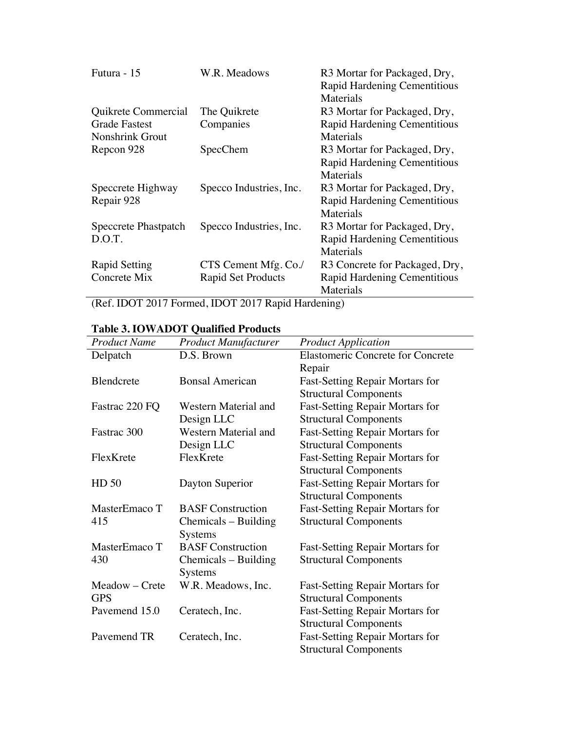| Futura - 15            | W.R. Meadows              | R3 Mortar for Packaged, Dry,             |
|------------------------|---------------------------|------------------------------------------|
|                        |                           | Rapid Hardening Cementitious             |
|                        |                           | Materials                                |
| Quikrete Commercial    | The Quikrete              | R <sub>3</sub> Mortar for Packaged, Dry, |
| <b>Grade Fastest</b>   | Companies                 | <b>Rapid Hardening Cementitious</b>      |
| <b>Nonshrink Grout</b> |                           | Materials                                |
| Repcon 928             | <b>SpecChem</b>           | R <sub>3</sub> Mortar for Packaged, Dry, |
|                        |                           | <b>Rapid Hardening Cementitious</b>      |
|                        |                           | Materials                                |
| Speccrete Highway      | Specco Industries, Inc.   | R <sub>3</sub> Mortar for Packaged, Dry, |
| Repair 928             |                           | Rapid Hardening Cementitious             |
|                        |                           | Materials                                |
| Speccrete Phastpatch   | Specco Industries, Inc.   | R3 Mortar for Packaged, Dry,             |
| D.O.T.                 |                           | Rapid Hardening Cementitious             |
|                        |                           | Materials                                |
| <b>Rapid Setting</b>   | CTS Cement Mfg. Co./      | R3 Concrete for Packaged, Dry,           |
| Concrete Mix           | <b>Rapid Set Products</b> | Rapid Hardening Cementitious             |
|                        |                           | Materials                                |

(Ref. IDOT 2017 Formed, IDOT 2017 Rapid Hardening)

# **Table 3. IOWADOT Qualified Products**

| <b>Product Name</b> | <b>Product Manufacturer</b> | <b>Product Application</b>               |
|---------------------|-----------------------------|------------------------------------------|
| Delpatch            | D.S. Brown                  | <b>Elastomeric Concrete for Concrete</b> |
|                     |                             | Repair                                   |
| Blendcrete          | <b>Bonsal American</b>      | <b>Fast-Setting Repair Mortars for</b>   |
|                     |                             | <b>Structural Components</b>             |
| Fastrac 220 FQ      | Western Material and        | <b>Fast-Setting Repair Mortars for</b>   |
|                     | Design LLC                  | <b>Structural Components</b>             |
| Fastrac 300         | Western Material and        |                                          |
|                     |                             | <b>Fast-Setting Repair Mortars for</b>   |
|                     | Design LLC                  | <b>Structural Components</b>             |
| FlexKrete           | FlexKrete                   | <b>Fast-Setting Repair Mortars for</b>   |
|                     |                             | <b>Structural Components</b>             |
| HD 50               | Dayton Superior             | <b>Fast-Setting Repair Mortars for</b>   |
|                     |                             | <b>Structural Components</b>             |
| MasterEmaco T       | <b>BASF</b> Construction    | <b>Fast-Setting Repair Mortars for</b>   |
| 415                 | Chemicals – Building        | <b>Structural Components</b>             |
|                     | <b>Systems</b>              |                                          |
| MasterEmaco T       | <b>BASF</b> Construction    | <b>Fast-Setting Repair Mortars for</b>   |
| 430                 | Chemicals – Building        | <b>Structural Components</b>             |
|                     | Systems                     |                                          |
| Meadow – Crete      | W.R. Meadows, Inc.          | <b>Fast-Setting Repair Mortars for</b>   |
| <b>GPS</b>          |                             | <b>Structural Components</b>             |
| Pavemend 15.0       | Ceratech, Inc.              | <b>Fast-Setting Repair Mortars for</b>   |
|                     |                             | <b>Structural Components</b>             |
| Pavemend TR         | Ceratech, Inc.              | <b>Fast-Setting Repair Mortars for</b>   |
|                     |                             | <b>Structural Components</b>             |
|                     |                             |                                          |

 $\overline{\phantom{a}}$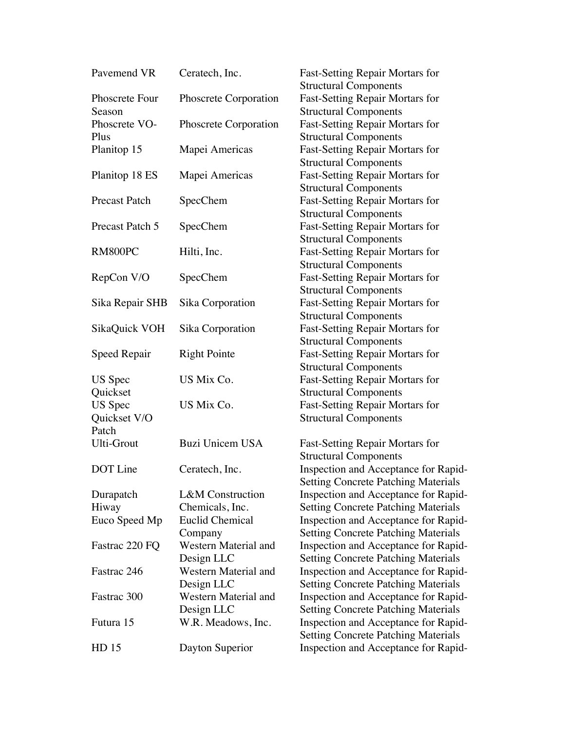| Pavemend VR          | Ceratech, Inc.              | <b>Fast-Setting Repair Mortars for</b>     |
|----------------------|-----------------------------|--------------------------------------------|
|                      |                             | <b>Structural Components</b>               |
| Phoscrete Four       | Phoscrete Corporation       | <b>Fast-Setting Repair Mortars for</b>     |
| Season               |                             | <b>Structural Components</b>               |
| Phoscrete VO-        | Phoscrete Corporation       | <b>Fast-Setting Repair Mortars for</b>     |
| Plus                 |                             | <b>Structural Components</b>               |
| Planitop 15          | Mapei Americas              | <b>Fast-Setting Repair Mortars for</b>     |
|                      |                             | <b>Structural Components</b>               |
| Planitop 18 ES       | Mapei Americas              | <b>Fast-Setting Repair Mortars for</b>     |
|                      |                             | <b>Structural Components</b>               |
| <b>Precast Patch</b> | SpecChem                    | <b>Fast-Setting Repair Mortars for</b>     |
|                      |                             | <b>Structural Components</b>               |
| Precast Patch 5      | SpecChem                    | Fast-Setting Repair Mortars for            |
|                      |                             | <b>Structural Components</b>               |
| RM800PC              | Hilti, Inc.                 | <b>Fast-Setting Repair Mortars for</b>     |
|                      |                             | <b>Structural Components</b>               |
| RepCon V/O           | SpecChem                    | <b>Fast-Setting Repair Mortars for</b>     |
|                      |                             | <b>Structural Components</b>               |
| Sika Repair SHB      | Sika Corporation            | <b>Fast-Setting Repair Mortars for</b>     |
|                      |                             | <b>Structural Components</b>               |
| SikaQuick VOH        | Sika Corporation            | <b>Fast-Setting Repair Mortars for</b>     |
|                      |                             | <b>Structural Components</b>               |
| Speed Repair         | <b>Right Pointe</b>         | <b>Fast-Setting Repair Mortars for</b>     |
|                      |                             | <b>Structural Components</b>               |
| <b>US</b> Spec       | US Mix Co.                  | <b>Fast-Setting Repair Mortars for</b>     |
| Quickset             |                             | <b>Structural Components</b>               |
| US Spec              | US Mix Co.                  | <b>Fast-Setting Repair Mortars for</b>     |
| Quickset V/O         |                             | <b>Structural Components</b>               |
| Patch                |                             |                                            |
| Ulti-Grout           | <b>Buzi Unicem USA</b>      | Fast-Setting Repair Mortars for            |
|                      |                             | <b>Structural Components</b>               |
| DOT Line             | Ceratech, Inc.              | Inspection and Acceptance for Rapid-       |
|                      |                             | <b>Setting Concrete Patching Materials</b> |
| Durapatch            | <b>L&amp;M</b> Construction | Inspection and Acceptance for Rapid-       |
| Hiway                | Chemicals, Inc.             | <b>Setting Concrete Patching Materials</b> |
| Euco Speed Mp        | <b>Euclid Chemical</b>      | Inspection and Acceptance for Rapid-       |
|                      | Company                     | <b>Setting Concrete Patching Materials</b> |
| Fastrac 220 FQ       | Western Material and        | Inspection and Acceptance for Rapid-       |
|                      | Design LLC                  | <b>Setting Concrete Patching Materials</b> |
| Fastrac 246          | Western Material and        | Inspection and Acceptance for Rapid-       |
|                      | Design LLC                  | <b>Setting Concrete Patching Materials</b> |
| Fastrac 300          | Western Material and        | Inspection and Acceptance for Rapid-       |
|                      | Design LLC                  | <b>Setting Concrete Patching Materials</b> |
| Futura 15            | W.R. Meadows, Inc.          | Inspection and Acceptance for Rapid-       |
|                      |                             | <b>Setting Concrete Patching Materials</b> |
| HD 15                | Dayton Superior             | Inspection and Acceptance for Rapid-       |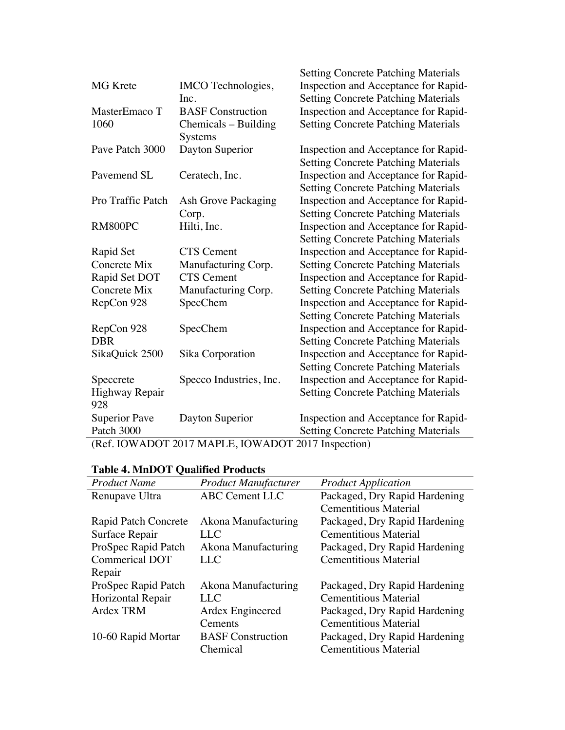|                       |                            | <b>Setting Concrete Patching Materials</b>                                         |
|-----------------------|----------------------------|------------------------------------------------------------------------------------|
| <b>MG</b> Krete       | IMCO Technologies,<br>Inc. | Inspection and Acceptance for Rapid-<br><b>Setting Concrete Patching Materials</b> |
| MasterEmaco T         | <b>BASF</b> Construction   | Inspection and Acceptance for Rapid-                                               |
| 1060                  | Chemicals - Building       | <b>Setting Concrete Patching Materials</b>                                         |
|                       | Systems                    |                                                                                    |
| Pave Patch 3000       | Dayton Superior            | Inspection and Acceptance for Rapid-                                               |
|                       |                            | <b>Setting Concrete Patching Materials</b>                                         |
| Pavemend SL           | Ceratech, Inc.             | Inspection and Acceptance for Rapid-                                               |
|                       |                            | <b>Setting Concrete Patching Materials</b>                                         |
| Pro Traffic Patch     | Ash Grove Packaging        | Inspection and Acceptance for Rapid-                                               |
|                       | Corp.                      | <b>Setting Concrete Patching Materials</b>                                         |
| RM800PC               | Hilti, Inc.                | Inspection and Acceptance for Rapid-                                               |
|                       |                            | <b>Setting Concrete Patching Materials</b>                                         |
| Rapid Set             | <b>CTS</b> Cement          | Inspection and Acceptance for Rapid-                                               |
| Concrete Mix          | Manufacturing Corp.        | <b>Setting Concrete Patching Materials</b>                                         |
| Rapid Set DOT         | <b>CTS</b> Cement          | Inspection and Acceptance for Rapid-                                               |
| Concrete Mix          | Manufacturing Corp.        | <b>Setting Concrete Patching Materials</b>                                         |
| RepCon 928            | SpecChem                   | Inspection and Acceptance for Rapid-                                               |
|                       |                            | <b>Setting Concrete Patching Materials</b>                                         |
| RepCon 928            | SpecChem                   | Inspection and Acceptance for Rapid-                                               |
| <b>DBR</b>            |                            | <b>Setting Concrete Patching Materials</b>                                         |
| SikaQuick 2500        | Sika Corporation           | Inspection and Acceptance for Rapid-                                               |
|                       |                            | <b>Setting Concrete Patching Materials</b>                                         |
| Speccrete             | Specco Industries, Inc.    | Inspection and Acceptance for Rapid-                                               |
| Highway Repair<br>928 |                            | <b>Setting Concrete Patching Materials</b>                                         |
| <b>Superior Pave</b>  | Dayton Superior            | Inspection and Acceptance for Rapid-                                               |
| Patch 3000            |                            | <b>Setting Concrete Patching Materials</b>                                         |

(Ref. IOWADOT 2017 MAPLE, IOWADOT 2017 Inspection)

|  | <b>Table 4. MnDOT Qualified Products</b> |
|--|------------------------------------------|
|--|------------------------------------------|

| Table 4. MnDOT Qualified Products |                               |  |
|-----------------------------------|-------------------------------|--|
| <b>Product Manufacturer</b>       | <b>Product Application</b>    |  |
| <b>ABC Cement LLC</b>             | Packaged, Dry Rapid Hardening |  |
|                                   | <b>Cementitious Material</b>  |  |
| Akona Manufacturing               | Packaged, Dry Rapid Hardening |  |
| LLC                               | <b>Cementitious Material</b>  |  |
| Akona Manufacturing               | Packaged, Dry Rapid Hardening |  |
| LLC                               | <b>Cementitious Material</b>  |  |
|                                   |                               |  |
| Akona Manufacturing               | Packaged, Dry Rapid Hardening |  |
| LLC                               | <b>Cementitious Material</b>  |  |
| Ardex Engineered                  | Packaged, Dry Rapid Hardening |  |
| Cements                           | <b>Cementitious Material</b>  |  |
| <b>BASF</b> Construction          | Packaged, Dry Rapid Hardening |  |
| Chemical                          | <b>Cementitious Material</b>  |  |
|                                   |                               |  |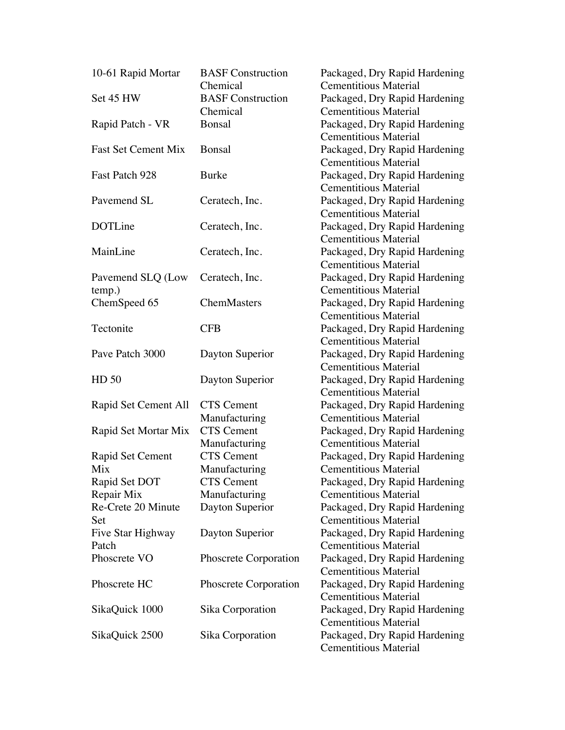| 10-61 Rapid Mortar         | <b>BASF</b> Construction           | Packaged, Dry Rapid Hardening |
|----------------------------|------------------------------------|-------------------------------|
|                            | Chemical                           | <b>Cementitious Material</b>  |
| Set 45 HW                  | <b>BASF</b> Construction           | Packaged, Dry Rapid Hardening |
|                            | Chemical                           | <b>Cementitious Material</b>  |
| Rapid Patch - VR           | Bonsal                             | Packaged, Dry Rapid Hardening |
|                            |                                    | <b>Cementitious Material</b>  |
| <b>Fast Set Cement Mix</b> | <b>Bonsal</b>                      | Packaged, Dry Rapid Hardening |
|                            |                                    | <b>Cementitious Material</b>  |
| Fast Patch 928             | <b>Burke</b>                       | Packaged, Dry Rapid Hardening |
|                            |                                    | <b>Cementitious Material</b>  |
| Pavemend SL                | Ceratech, Inc.                     | Packaged, Dry Rapid Hardening |
|                            |                                    | <b>Cementitious Material</b>  |
| DOTLine                    | Ceratech, Inc.                     | Packaged, Dry Rapid Hardening |
|                            |                                    | <b>Cementitious Material</b>  |
| MainLine                   | Ceratech, Inc.                     | Packaged, Dry Rapid Hardening |
|                            |                                    | <b>Cementitious Material</b>  |
| Pavemend SLQ (Low          | Ceratech, Inc.                     | Packaged, Dry Rapid Hardening |
| temp.)                     |                                    | <b>Cementitious Material</b>  |
| ChemSpeed 65               | ChemMasters                        | Packaged, Dry Rapid Hardening |
|                            |                                    | <b>Cementitious Material</b>  |
| Tectonite                  | <b>CFB</b>                         | Packaged, Dry Rapid Hardening |
|                            |                                    | <b>Cementitious Material</b>  |
| Pave Patch 3000            | Dayton Superior                    | Packaged, Dry Rapid Hardening |
|                            |                                    | <b>Cementitious Material</b>  |
| HD 50                      | Dayton Superior                    | Packaged, Dry Rapid Hardening |
|                            |                                    | <b>Cementitious Material</b>  |
| Rapid Set Cement All       | <b>CTS</b> Cement                  | Packaged, Dry Rapid Hardening |
|                            | Manufacturing                      | <b>Cementitious Material</b>  |
| Rapid Set Mortar Mix       | <b>CTS</b> Cement                  | Packaged, Dry Rapid Hardening |
|                            | Manufacturing                      | <b>Cementitious Material</b>  |
| Rapid Set Cement           | <b>CTS</b> Cement                  | Packaged, Dry Rapid Hardening |
| Mix                        |                                    | <b>Cementitious Material</b>  |
|                            | Manufacturing<br><b>CTS</b> Cement |                               |
| Rapid Set DOT              |                                    | Packaged, Dry Rapid Hardening |
| Repair Mix                 | Manufacturing                      | <b>Cementitious Material</b>  |
| Re-Crete 20 Minute         | Dayton Superior                    | Packaged, Dry Rapid Hardening |
| Set                        |                                    | <b>Cementitious Material</b>  |
| Five Star Highway          | Dayton Superior                    | Packaged, Dry Rapid Hardening |
| Patch                      |                                    | <b>Cementitious Material</b>  |
| Phoscrete VO               | Phoscrete Corporation              | Packaged, Dry Rapid Hardening |
|                            |                                    | <b>Cementitious Material</b>  |
| Phoscrete HC               | Phoscrete Corporation              | Packaged, Dry Rapid Hardening |
|                            |                                    | <b>Cementitious Material</b>  |
| SikaQuick 1000             | Sika Corporation                   | Packaged, Dry Rapid Hardening |
|                            |                                    | <b>Cementitious Material</b>  |
| SikaQuick 2500             | Sika Corporation                   | Packaged, Dry Rapid Hardening |
|                            |                                    | <b>Cementitious Material</b>  |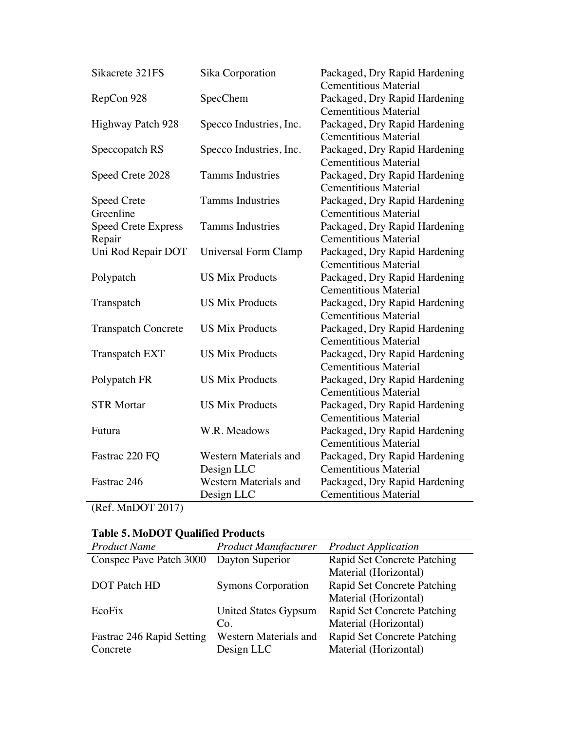| Sikacrete 321FS            | Sika Corporation             | Packaged, Dry Rapid Hardening |
|----------------------------|------------------------------|-------------------------------|
|                            |                              | <b>Cementitious Material</b>  |
| RepCon 928                 | SpecChem                     | Packaged, Dry Rapid Hardening |
|                            |                              | <b>Cementitious Material</b>  |
| Highway Patch 928          | Specco Industries, Inc.      | Packaged, Dry Rapid Hardening |
|                            |                              | <b>Cementitious Material</b>  |
| Speccopatch RS             | Specco Industries, Inc.      | Packaged, Dry Rapid Hardening |
|                            |                              | <b>Cementitious Material</b>  |
| Speed Crete 2028           | <b>Tamms Industries</b>      | Packaged, Dry Rapid Hardening |
|                            |                              | <b>Cementitious Material</b>  |
| <b>Speed Crete</b>         | <b>Tamms Industries</b>      | Packaged, Dry Rapid Hardening |
| Greenline                  |                              | <b>Cementitious Material</b>  |
| <b>Speed Crete Express</b> | <b>Tamms Industries</b>      | Packaged, Dry Rapid Hardening |
| Repair                     |                              | <b>Cementitious Material</b>  |
| Uni Rod Repair DOT         | Universal Form Clamp         | Packaged, Dry Rapid Hardening |
|                            |                              | <b>Cementitious Material</b>  |
| Polypatch                  | <b>US Mix Products</b>       | Packaged, Dry Rapid Hardening |
|                            |                              | <b>Cementitious Material</b>  |
| Transpatch                 | <b>US Mix Products</b>       | Packaged, Dry Rapid Hardening |
|                            |                              | <b>Cementitious Material</b>  |
| <b>Transpatch Concrete</b> | <b>US Mix Products</b>       | Packaged, Dry Rapid Hardening |
|                            |                              | <b>Cementitious Material</b>  |
| <b>Transpatch EXT</b>      | <b>US Mix Products</b>       | Packaged, Dry Rapid Hardening |
|                            |                              | <b>Cementitious Material</b>  |
| Polypatch FR               | <b>US Mix Products</b>       | Packaged, Dry Rapid Hardening |
|                            |                              | <b>Cementitious Material</b>  |
| <b>STR Mortar</b>          | <b>US Mix Products</b>       | Packaged, Dry Rapid Hardening |
|                            |                              | <b>Cementitious Material</b>  |
| Futura                     | W.R. Meadows                 | Packaged, Dry Rapid Hardening |
|                            |                              | <b>Cementitious Material</b>  |
| Fastrac 220 FQ             | <b>Western Materials and</b> | Packaged, Dry Rapid Hardening |
|                            | Design LLC                   | <b>Cementitious Material</b>  |
| Fastrac 246                | Western Materials and        | Packaged, Dry Rapid Hardening |
|                            | Design LLC                   | <b>Cementitious Material</b>  |
| (Ref MnNOT 2017)           |                              |                               |

(Ref. MnDOT 2017)

| <b>Table 5. MoDOT Qualified Products</b> |                             |                             |  |
|------------------------------------------|-----------------------------|-----------------------------|--|
| <b>Product Name</b>                      | <b>Product Manufacturer</b> | <b>Product Application</b>  |  |
| Conspec Pave Patch 3000                  | Dayton Superior             | Rapid Set Concrete Patching |  |
|                                          |                             | Material (Horizontal)       |  |
| <b>DOT</b> Patch HD                      | <b>Symons Corporation</b>   | Rapid Set Concrete Patching |  |
|                                          |                             | Material (Horizontal)       |  |
| EcoFix                                   | United States Gypsum        | Rapid Set Concrete Patching |  |
|                                          | Co.                         | Material (Horizontal)       |  |
| Fastrac 246 Rapid Setting                | Western Materials and       | Rapid Set Concrete Patching |  |
| Concrete                                 | Design LLC                  | Material (Horizontal)       |  |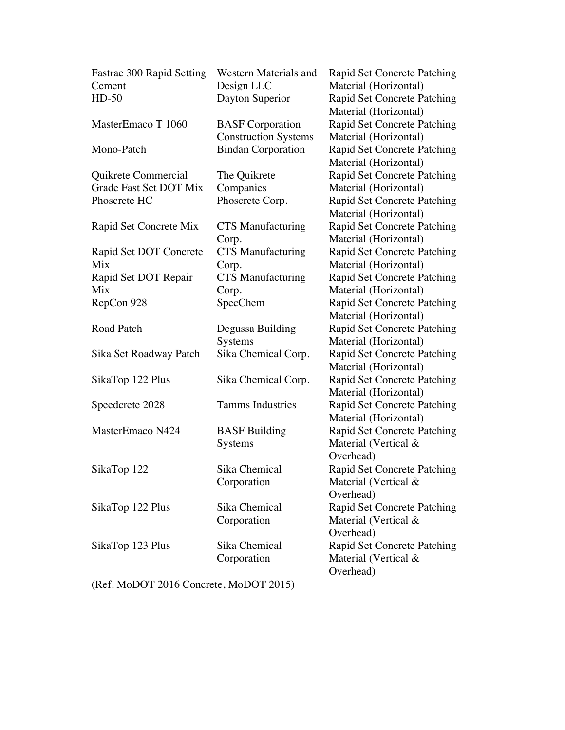| Fastrac 300 Rapid Setting | Western Materials and       | Rapid Set Concrete Patching |
|---------------------------|-----------------------------|-----------------------------|
| Cement                    | Design LLC                  | Material (Horizontal)       |
| $HD-50$                   | Dayton Superior             | Rapid Set Concrete Patching |
|                           |                             | Material (Horizontal)       |
| MasterEmaco T 1060        | <b>BASF</b> Corporation     | Rapid Set Concrete Patching |
|                           | <b>Construction Systems</b> | Material (Horizontal)       |
| Mono-Patch                | <b>Bindan Corporation</b>   | Rapid Set Concrete Patching |
|                           |                             | Material (Horizontal)       |
| Quikrete Commercial       | The Quikrete                | Rapid Set Concrete Patching |
| Grade Fast Set DOT Mix    | Companies                   | Material (Horizontal)       |
| Phoscrete HC              | Phoscrete Corp.             | Rapid Set Concrete Patching |
|                           |                             | Material (Horizontal)       |
| Rapid Set Concrete Mix    | <b>CTS</b> Manufacturing    | Rapid Set Concrete Patching |
|                           | Corp.                       | Material (Horizontal)       |
| Rapid Set DOT Concrete    | <b>CTS</b> Manufacturing    | Rapid Set Concrete Patching |
| Mix                       | Corp.                       | Material (Horizontal)       |
| Rapid Set DOT Repair      | <b>CTS</b> Manufacturing    | Rapid Set Concrete Patching |
| Mix                       | Corp.                       | Material (Horizontal)       |
| RepCon 928                | SpecChem                    | Rapid Set Concrete Patching |
|                           |                             | Material (Horizontal)       |
| Road Patch                | Degussa Building            | Rapid Set Concrete Patching |
|                           | <b>Systems</b>              | Material (Horizontal)       |
| Sika Set Roadway Patch    | Sika Chemical Corp.         | Rapid Set Concrete Patching |
|                           |                             | Material (Horizontal)       |
| SikaTop 122 Plus          | Sika Chemical Corp.         | Rapid Set Concrete Patching |
|                           |                             | Material (Horizontal)       |
| Speedcrete 2028           | <b>Tamms Industries</b>     | Rapid Set Concrete Patching |
|                           |                             | Material (Horizontal)       |
| MasterEmaco N424          | <b>BASF</b> Building        | Rapid Set Concrete Patching |
|                           | Systems                     | Material (Vertical &        |
|                           |                             | Overhead)                   |
| SikaTop 122               | Sika Chemical               | Rapid Set Concrete Patching |
|                           | Corporation                 | Material (Vertical &        |
|                           |                             | Overhead)                   |
| SikaTop 122 Plus          | Sika Chemical               | Rapid Set Concrete Patching |
|                           | Corporation                 | Material (Vertical &        |
|                           |                             | Overhead)                   |
| SikaTop 123 Plus          | Sika Chemical               | Rapid Set Concrete Patching |
|                           | Corporation                 | Material (Vertical &        |
|                           |                             | Overhead)                   |

(Ref. MoDOT 2016 Concrete, MoDOT 2015)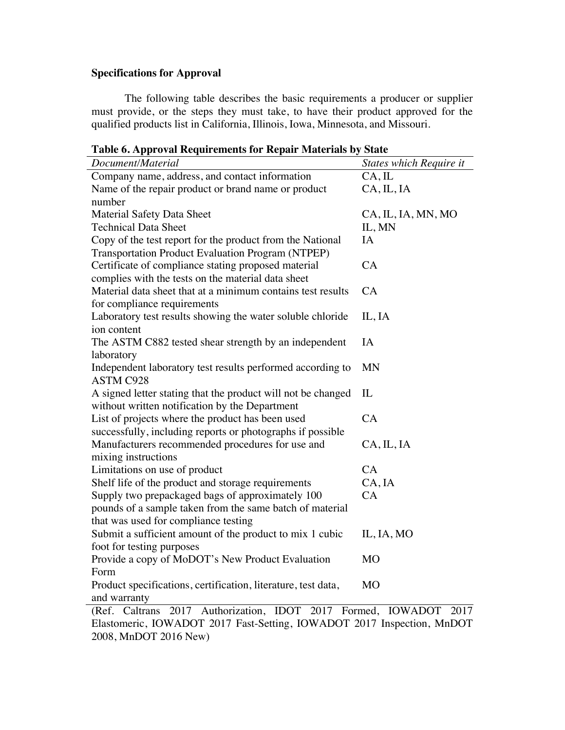# **Specifications for Approval**

The following table describes the basic requirements a producer or supplier must provide, or the steps they must take, to have their product approved for the qualified products list in California, Illinois, Iowa, Minnesota, and Missouri.

| Table 6. Approval Requirements for Repair Materials by State |  |  |
|--------------------------------------------------------------|--|--|
|                                                              |  |  |

| radic or repproval requirements for requirements by State                                                      |                                |
|----------------------------------------------------------------------------------------------------------------|--------------------------------|
| Document/Material                                                                                              | <b>States which Require it</b> |
| Company name, address, and contact information                                                                 | CA, IL                         |
| Name of the repair product or brand name or product                                                            | CA, IL, IA                     |
| number                                                                                                         |                                |
| <b>Material Safety Data Sheet</b>                                                                              | CA, IL, IA, MN, MO             |
| <b>Technical Data Sheet</b>                                                                                    | IL, MN                         |
| Copy of the test report for the product from the National<br>Transportation Product Evaluation Program (NTPEP) | IA                             |
| Certificate of compliance stating proposed material                                                            | CA                             |
| complies with the tests on the material data sheet                                                             |                                |
| Material data sheet that at a minimum contains test results<br>for compliance requirements                     | CA                             |
| Laboratory test results showing the water soluble chloride<br>ion content                                      | IL, IA                         |
| The ASTM C882 tested shear strength by an independent                                                          | IA                             |
| laboratory                                                                                                     |                                |
| Independent laboratory test results performed according to<br><b>ASTM C928</b>                                 | <b>MN</b>                      |
| A signed letter stating that the product will not be changed                                                   | IL                             |
| without written notification by the Department                                                                 |                                |
| List of projects where the product has been used                                                               | CA                             |
| successfully, including reports or photographs if possible                                                     |                                |
| Manufacturers recommended procedures for use and<br>mixing instructions                                        | CA, IL, IA                     |
| Limitations on use of product                                                                                  | CA                             |
| Shelf life of the product and storage requirements                                                             | CA, IA                         |
| Supply two prepackaged bags of approximately 100                                                               | CA                             |
| pounds of a sample taken from the same batch of material                                                       |                                |
| that was used for compliance testing                                                                           |                                |
| Submit a sufficient amount of the product to mix 1 cubic                                                       | IL, IA, MO                     |
| foot for testing purposes                                                                                      |                                |
| Provide a copy of MoDOT's New Product Evaluation                                                               | M <sub>O</sub>                 |
| Form                                                                                                           |                                |
| Product specifications, certification, literature, test data,                                                  | M <sub>O</sub>                 |
| and warranty<br>(Ref. Caltrans 2017 Authorization, IDOT 2017 Formed, IOWADOT 2017                              |                                |
|                                                                                                                |                                |
| Elastomeric, IOWADOT 2017 Fast-Setting, IOWADOT 2017 Inspection, MnDOT                                         |                                |

2008, MnDOT 2016 New)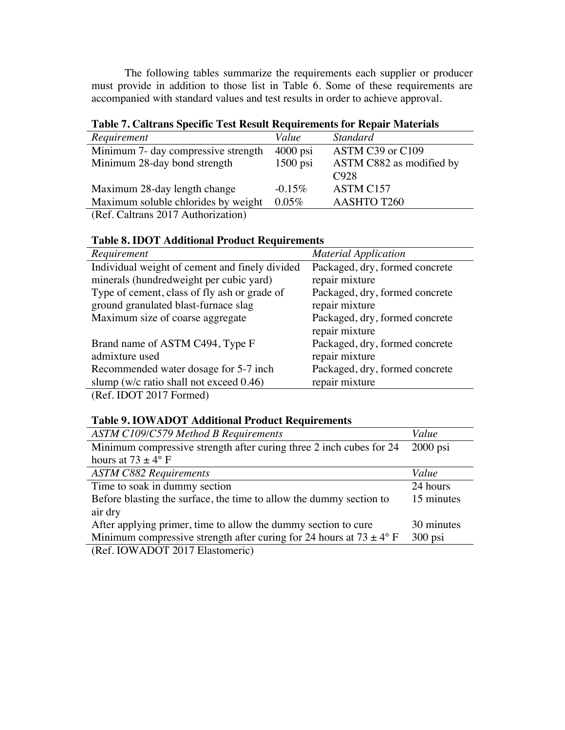The following tables summarize the requirements each supplier or producer must provide in addition to those list in Table 6. Some of these requirements are accompanied with standard values and test results in order to achieve approval.

# **Table 7. Caltrans Specific Test Result Requirements for Repair Materials**

| Requirement                                                                                                                                                                                                                                                                                                   | Value      | <b>Standard</b>          |
|---------------------------------------------------------------------------------------------------------------------------------------------------------------------------------------------------------------------------------------------------------------------------------------------------------------|------------|--------------------------|
| Minimum 7- day compressive strength                                                                                                                                                                                                                                                                           | $4000$ psi | ASTM C39 or C109         |
| Minimum 28-day bond strength                                                                                                                                                                                                                                                                                  | $1500$ psi | ASTM C882 as modified by |
|                                                                                                                                                                                                                                                                                                               |            | C <sub>928</sub>         |
| Maximum 28-day length change                                                                                                                                                                                                                                                                                  | $-0.15\%$  | ASTM C157                |
| Maximum soluble chlorides by weight                                                                                                                                                                                                                                                                           | $0.05\%$   | AASHTO T260              |
| $\sqrt{D}$ $C$ $C$ $1$ $\sqrt{Q(17)}$ $\sqrt{d}$ $\sqrt{d}$ $\sqrt{d}$ $\sqrt{d}$ $\sqrt{d}$ $\sqrt{d}$ $\sqrt{d}$ $\sqrt{d}$ $\sqrt{d}$ $\sqrt{d}$ $\sqrt{d}$ $\sqrt{d}$ $\sqrt{d}$ $\sqrt{d}$ $\sqrt{d}$ $\sqrt{d}$ $\sqrt{d}$ $\sqrt{d}$ $\sqrt{d}$ $\sqrt{d}$ $\sqrt{d}$ $\sqrt{d}$ $\sqrt{d}$ $\sqrt{d}$ |            |                          |

(Ref. Caltrans 2017 Authorization)

# **Table 8. IDOT Additional Product Requirements**

| Requirement                                                                                                                                                                                                                                                                                                        | <b>Material Application</b>    |
|--------------------------------------------------------------------------------------------------------------------------------------------------------------------------------------------------------------------------------------------------------------------------------------------------------------------|--------------------------------|
| Individual weight of cement and finely divided                                                                                                                                                                                                                                                                     | Packaged, dry, formed concrete |
| minerals (hundredweight per cubic yard)                                                                                                                                                                                                                                                                            | repair mixture                 |
| Type of cement, class of fly ash or grade of                                                                                                                                                                                                                                                                       | Packaged, dry, formed concrete |
| ground granulated blast-furnace slag                                                                                                                                                                                                                                                                               | repair mixture                 |
| Maximum size of coarse aggregate                                                                                                                                                                                                                                                                                   | Packaged, dry, formed concrete |
|                                                                                                                                                                                                                                                                                                                    | repair mixture                 |
| Brand name of ASTM C494, Type F                                                                                                                                                                                                                                                                                    | Packaged, dry, formed concrete |
| admixture used                                                                                                                                                                                                                                                                                                     | repair mixture                 |
| Recommended water dosage for 5-7 inch                                                                                                                                                                                                                                                                              | Packaged, dry, formed concrete |
| slump ( $w/c$ ratio shall not exceed 0.46)                                                                                                                                                                                                                                                                         | repair mixture                 |
| $\sqrt{2}$ $\sqrt{2}$ $\sqrt{2}$ $\sqrt{2}$ $\sqrt{2}$ $\sqrt{2}$ $\sqrt{2}$ $\sqrt{2}$ $\sqrt{2}$ $\sqrt{2}$ $\sqrt{2}$ $\sqrt{2}$ $\sqrt{2}$ $\sqrt{2}$ $\sqrt{2}$ $\sqrt{2}$ $\sqrt{2}$ $\sqrt{2}$ $\sqrt{2}$ $\sqrt{2}$ $\sqrt{2}$ $\sqrt{2}$ $\sqrt{2}$ $\sqrt{2}$ $\sqrt{2}$ $\sqrt{2}$ $\sqrt{2}$ $\sqrt{2$ |                                |

(Ref. IDOT 2017 Formed)

### **Table 9. IOWADOT Additional Product Requirements**

| <b>ASTM C109/C579 Method B Requirements</b>                                    | Value      |
|--------------------------------------------------------------------------------|------------|
| Minimum compressive strength after curing three 2 inch cubes for 24            | $2000$ psi |
| hours at $73 \pm 4^{\circ}$ F                                                  |            |
| <b>ASTM C882 Requirements</b>                                                  | Value      |
| Time to soak in dummy section                                                  | 24 hours   |
| Before blasting the surface, the time to allow the dummy section to            | 15 minutes |
| air dry                                                                        |            |
| After applying primer, time to allow the dummy section to cure                 | 30 minutes |
| Minimum compressive strength after curing for 24 hours at $73 \pm 4^{\circ}$ F | $300$ psi  |
| $\overline{D}$ c LOWLADOT 0017 $\overline{D}$                                  |            |

(Ref. IOWADOT 2017 Elastomeric)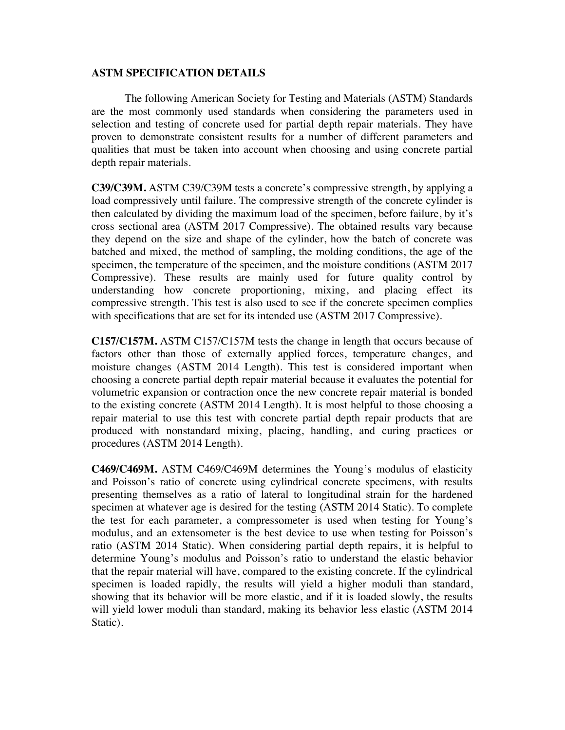#### **ASTM SPECIFICATION DETAILS**

The following American Society for Testing and Materials (ASTM) Standards are the most commonly used standards when considering the parameters used in selection and testing of concrete used for partial depth repair materials. They have proven to demonstrate consistent results for a number of different parameters and qualities that must be taken into account when choosing and using concrete partial depth repair materials.

**C39/C39M.** ASTM C39/C39M tests a concrete's compressive strength, by applying a load compressively until failure. The compressive strength of the concrete cylinder is then calculated by dividing the maximum load of the specimen, before failure, by it's cross sectional area (ASTM 2017 Compressive). The obtained results vary because they depend on the size and shape of the cylinder, how the batch of concrete was batched and mixed, the method of sampling, the molding conditions, the age of the specimen, the temperature of the specimen, and the moisture conditions (ASTM 2017 Compressive). These results are mainly used for future quality control by understanding how concrete proportioning, mixing, and placing effect its compressive strength. This test is also used to see if the concrete specimen complies with specifications that are set for its intended use (ASTM 2017 Compressive).

**C157/C157M.** ASTM C157/C157M tests the change in length that occurs because of factors other than those of externally applied forces, temperature changes, and moisture changes (ASTM 2014 Length). This test is considered important when choosing a concrete partial depth repair material because it evaluates the potential for volumetric expansion or contraction once the new concrete repair material is bonded to the existing concrete (ASTM 2014 Length). It is most helpful to those choosing a repair material to use this test with concrete partial depth repair products that are produced with nonstandard mixing, placing, handling, and curing practices or procedures (ASTM 2014 Length).

**C469/C469M.** ASTM C469/C469M determines the Young's modulus of elasticity and Poisson's ratio of concrete using cylindrical concrete specimens, with results presenting themselves as a ratio of lateral to longitudinal strain for the hardened specimen at whatever age is desired for the testing (ASTM 2014 Static). To complete the test for each parameter, a compressometer is used when testing for Young's modulus, and an extensometer is the best device to use when testing for Poisson's ratio (ASTM 2014 Static). When considering partial depth repairs, it is helpful to determine Young's modulus and Poisson's ratio to understand the elastic behavior that the repair material will have, compared to the existing concrete. If the cylindrical specimen is loaded rapidly, the results will yield a higher moduli than standard, showing that its behavior will be more elastic, and if it is loaded slowly, the results will yield lower moduli than standard, making its behavior less elastic (ASTM 2014 Static).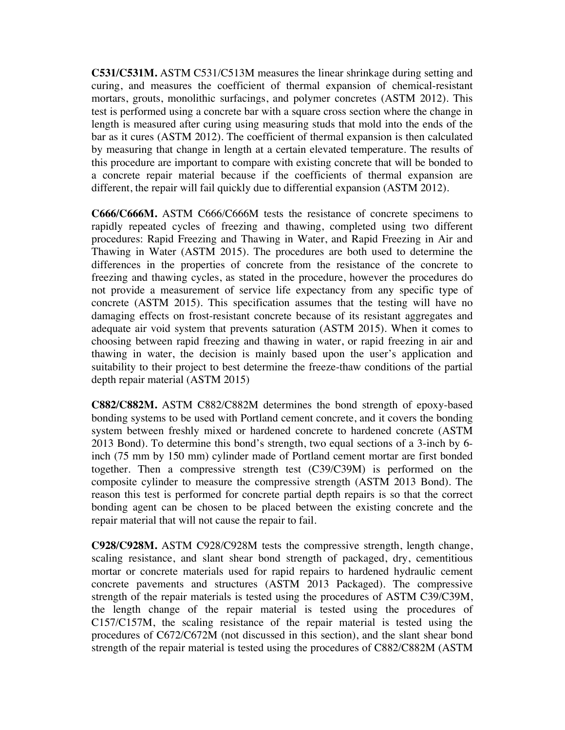**C531/C531M.** ASTM C531/C513M measures the linear shrinkage during setting and curing, and measures the coefficient of thermal expansion of chemical-resistant mortars, grouts, monolithic surfacings, and polymer concretes (ASTM 2012). This test is performed using a concrete bar with a square cross section where the change in length is measured after curing using measuring studs that mold into the ends of the bar as it cures (ASTM 2012). The coefficient of thermal expansion is then calculated by measuring that change in length at a certain elevated temperature. The results of this procedure are important to compare with existing concrete that will be bonded to a concrete repair material because if the coefficients of thermal expansion are different, the repair will fail quickly due to differential expansion (ASTM 2012).

**C666/C666M.** ASTM C666/C666M tests the resistance of concrete specimens to rapidly repeated cycles of freezing and thawing, completed using two different procedures: Rapid Freezing and Thawing in Water, and Rapid Freezing in Air and Thawing in Water (ASTM 2015). The procedures are both used to determine the differences in the properties of concrete from the resistance of the concrete to freezing and thawing cycles, as stated in the procedure, however the procedures do not provide a measurement of service life expectancy from any specific type of concrete (ASTM 2015). This specification assumes that the testing will have no damaging effects on frost-resistant concrete because of its resistant aggregates and adequate air void system that prevents saturation (ASTM 2015). When it comes to choosing between rapid freezing and thawing in water, or rapid freezing in air and thawing in water, the decision is mainly based upon the user's application and suitability to their project to best determine the freeze-thaw conditions of the partial depth repair material (ASTM 2015)

**C882/C882M.** ASTM C882/C882M determines the bond strength of epoxy-based bonding systems to be used with Portland cement concrete, and it covers the bonding system between freshly mixed or hardened concrete to hardened concrete (ASTM 2013 Bond). To determine this bond's strength, two equal sections of a 3-inch by 6 inch (75 mm by 150 mm) cylinder made of Portland cement mortar are first bonded together. Then a compressive strength test (C39/C39M) is performed on the composite cylinder to measure the compressive strength (ASTM 2013 Bond). The reason this test is performed for concrete partial depth repairs is so that the correct bonding agent can be chosen to be placed between the existing concrete and the repair material that will not cause the repair to fail.

**C928/C928M.** ASTM C928/C928M tests the compressive strength, length change, scaling resistance, and slant shear bond strength of packaged, dry, cementitious mortar or concrete materials used for rapid repairs to hardened hydraulic cement concrete pavements and structures (ASTM 2013 Packaged). The compressive strength of the repair materials is tested using the procedures of ASTM C39/C39M, the length change of the repair material is tested using the procedures of C157/C157M, the scaling resistance of the repair material is tested using the procedures of C672/C672M (not discussed in this section), and the slant shear bond strength of the repair material is tested using the procedures of C882/C882M (ASTM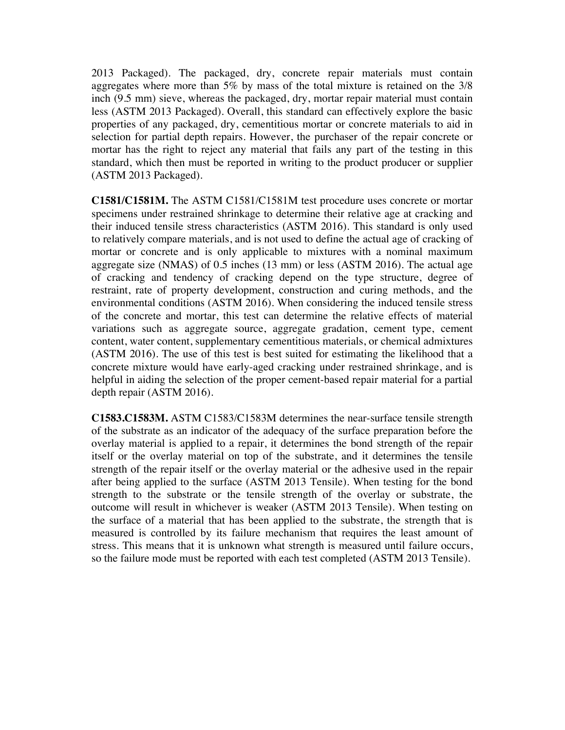2013 Packaged). The packaged, dry, concrete repair materials must contain aggregates where more than 5% by mass of the total mixture is retained on the 3/8 inch (9.5 mm) sieve, whereas the packaged, dry, mortar repair material must contain less (ASTM 2013 Packaged). Overall, this standard can effectively explore the basic properties of any packaged, dry, cementitious mortar or concrete materials to aid in selection for partial depth repairs. However, the purchaser of the repair concrete or mortar has the right to reject any material that fails any part of the testing in this standard, which then must be reported in writing to the product producer or supplier (ASTM 2013 Packaged).

**C1581/C1581M.** The ASTM C1581/C1581M test procedure uses concrete or mortar specimens under restrained shrinkage to determine their relative age at cracking and their induced tensile stress characteristics (ASTM 2016). This standard is only used to relatively compare materials, and is not used to define the actual age of cracking of mortar or concrete and is only applicable to mixtures with a nominal maximum aggregate size (NMAS) of 0.5 inches (13 mm) or less (ASTM 2016). The actual age of cracking and tendency of cracking depend on the type structure, degree of restraint, rate of property development, construction and curing methods, and the environmental conditions (ASTM 2016). When considering the induced tensile stress of the concrete and mortar, this test can determine the relative effects of material variations such as aggregate source, aggregate gradation, cement type, cement content, water content, supplementary cementitious materials, or chemical admixtures (ASTM 2016). The use of this test is best suited for estimating the likelihood that a concrete mixture would have early-aged cracking under restrained shrinkage, and is helpful in aiding the selection of the proper cement-based repair material for a partial depth repair (ASTM 2016).

**C1583.C1583M.** ASTM C1583/C1583M determines the near-surface tensile strength of the substrate as an indicator of the adequacy of the surface preparation before the overlay material is applied to a repair, it determines the bond strength of the repair itself or the overlay material on top of the substrate, and it determines the tensile strength of the repair itself or the overlay material or the adhesive used in the repair after being applied to the surface (ASTM 2013 Tensile). When testing for the bond strength to the substrate or the tensile strength of the overlay or substrate, the outcome will result in whichever is weaker (ASTM 2013 Tensile). When testing on the surface of a material that has been applied to the substrate, the strength that is measured is controlled by its failure mechanism that requires the least amount of stress. This means that it is unknown what strength is measured until failure occurs, so the failure mode must be reported with each test completed (ASTM 2013 Tensile).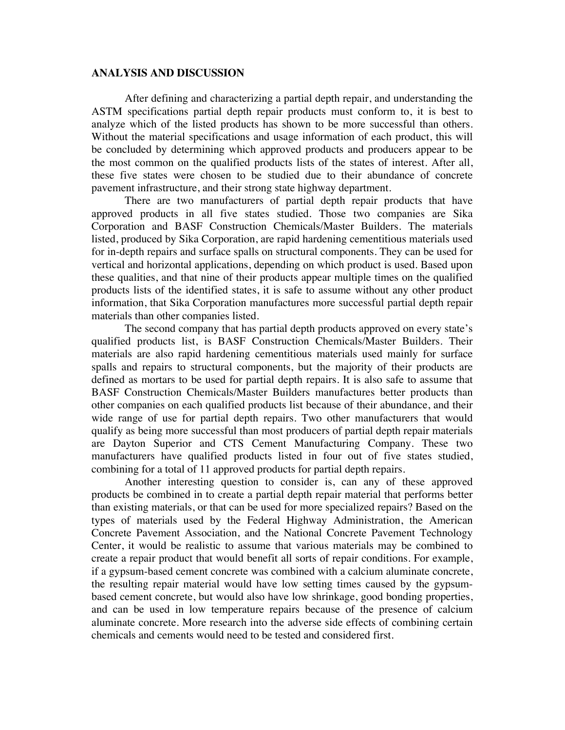#### **ANALYSIS AND DISCUSSION**

After defining and characterizing a partial depth repair, and understanding the ASTM specifications partial depth repair products must conform to, it is best to analyze which of the listed products has shown to be more successful than others. Without the material specifications and usage information of each product, this will be concluded by determining which approved products and producers appear to be the most common on the qualified products lists of the states of interest. After all, these five states were chosen to be studied due to their abundance of concrete pavement infrastructure, and their strong state highway department.

There are two manufacturers of partial depth repair products that have approved products in all five states studied. Those two companies are Sika Corporation and BASF Construction Chemicals/Master Builders. The materials listed, produced by Sika Corporation, are rapid hardening cementitious materials used for in-depth repairs and surface spalls on structural components. They can be used for vertical and horizontal applications, depending on which product is used. Based upon these qualities, and that nine of their products appear multiple times on the qualified products lists of the identified states, it is safe to assume without any other product information, that Sika Corporation manufactures more successful partial depth repair materials than other companies listed.

The second company that has partial depth products approved on every state's qualified products list, is BASF Construction Chemicals/Master Builders. Their materials are also rapid hardening cementitious materials used mainly for surface spalls and repairs to structural components, but the majority of their products are defined as mortars to be used for partial depth repairs. It is also safe to assume that BASF Construction Chemicals/Master Builders manufactures better products than other companies on each qualified products list because of their abundance, and their wide range of use for partial depth repairs. Two other manufacturers that would qualify as being more successful than most producers of partial depth repair materials are Dayton Superior and CTS Cement Manufacturing Company. These two manufacturers have qualified products listed in four out of five states studied, combining for a total of 11 approved products for partial depth repairs.

Another interesting question to consider is, can any of these approved products be combined in to create a partial depth repair material that performs better than existing materials, or that can be used for more specialized repairs? Based on the types of materials used by the Federal Highway Administration, the American Concrete Pavement Association, and the National Concrete Pavement Technology Center, it would be realistic to assume that various materials may be combined to create a repair product that would benefit all sorts of repair conditions. For example, if a gypsum-based cement concrete was combined with a calcium aluminate concrete, the resulting repair material would have low setting times caused by the gypsumbased cement concrete, but would also have low shrinkage, good bonding properties, and can be used in low temperature repairs because of the presence of calcium aluminate concrete. More research into the adverse side effects of combining certain chemicals and cements would need to be tested and considered first.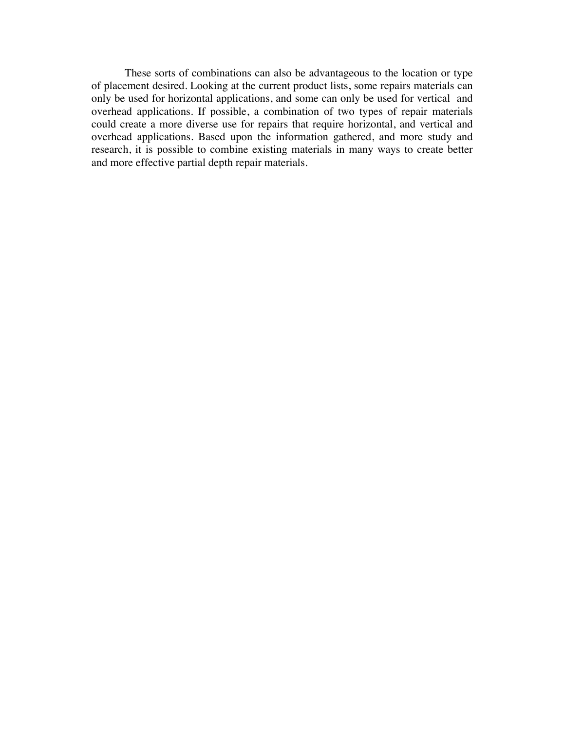These sorts of combinations can also be advantageous to the location or type of placement desired. Looking at the current product lists, some repairs materials can only be used for horizontal applications, and some can only be used for vertical and overhead applications. If possible, a combination of two types of repair materials could create a more diverse use for repairs that require horizontal, and vertical and overhead applications. Based upon the information gathered, and more study and research, it is possible to combine existing materials in many ways to create better and more effective partial depth repair materials.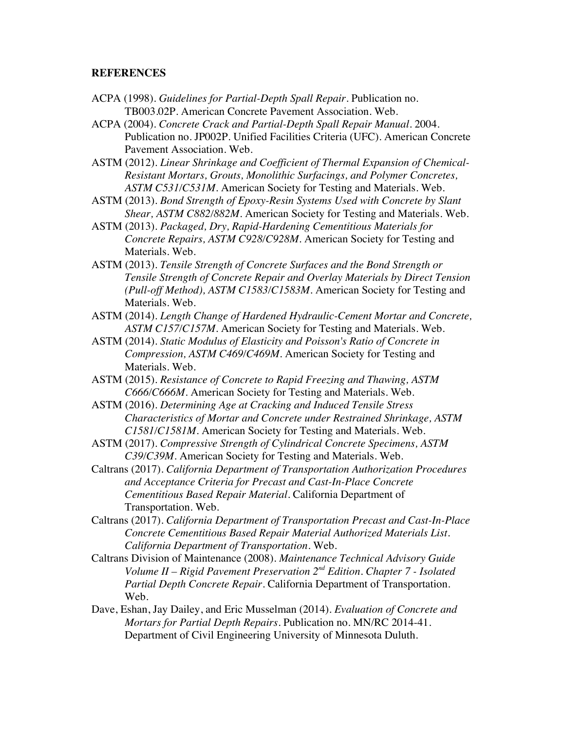#### **REFERENCES**

- ACPA (1998). *Guidelines for Partial-Depth Spall Repair*. Publication no. TB003.02P. American Concrete Pavement Association. Web.
- ACPA (2004). *Concrete Crack and Partial-Depth Spall Repair Manual*. 2004. Publication no. JP002P. Unified Facilities Criteria (UFC). American Concrete Pavement Association. Web.
- ASTM (2012). *Linear Shrinkage and Coefficient of Thermal Expansion of Chemical-Resistant Mortars, Grouts, Monolithic Surfacings, and Polymer Concretes, ASTM C531/C531M*. American Society for Testing and Materials. Web.
- ASTM (2013). *Bond Strength of Epoxy-Resin Systems Used with Concrete by Slant Shear, ASTM C882/882M*. American Society for Testing and Materials. Web.
- ASTM (2013). *Packaged, Dry, Rapid-Hardening Cementitious Materials for Concrete Repairs, ASTM C928/C928M*. American Society for Testing and Materials. Web.
- ASTM (2013). *Tensile Strength of Concrete Surfaces and the Bond Strength or Tensile Strength of Concrete Repair and Overlay Materials by Direct Tension (Pull-off Method), ASTM C1583/C1583M.* American Society for Testing and Materials. Web.
- ASTM (2014). *Length Change of Hardened Hydraulic-Cement Mortar and Concrete, ASTM C157/C157M*. American Society for Testing and Materials. Web.
- ASTM (2014). *Static Modulus of Elasticity and Poisson's Ratio of Concrete in Compression, ASTM C469/C469M.* American Society for Testing and Materials. Web.
- ASTM (2015). *Resistance of Concrete to Rapid Freezing and Thawing, ASTM C666/C666M.* American Society for Testing and Materials. Web.
- ASTM (2016). *Determining Age at Cracking and Induced Tensile Stress Characteristics of Mortar and Concrete under Restrained Shrinkage, ASTM C1581/C1581M.* American Society for Testing and Materials. Web.
- ASTM (2017). *Compressive Strength of Cylindrical Concrete Specimens, ASTM C39/C39M.* American Society for Testing and Materials. Web.
- Caltrans (2017). *California Department of Transportation Authorization Procedures and Acceptance Criteria for Precast and Cast-In-Place Concrete Cementitious Based Repair Material*. California Department of Transportation. Web.
- Caltrans (2017). *California Department of Transportation Precast and Cast-In-Place Concrete Cementitious Based Repair Material Authorized Materials List. California Department of Transportation*. Web.
- Caltrans Division of Maintenance (2008). *Maintenance Technical Advisory Guide Volume II – Rigid Pavement Preservation 2nd Edition. Chapter 7 - Isolated Partial Depth Concrete Repair.* California Department of Transportation. Web.
- Dave, Eshan, Jay Dailey, and Eric Musselman (2014). *Evaluation of Concrete and Mortars for Partial Depth Repairs*. Publication no. MN/RC 2014-41. Department of Civil Engineering University of Minnesota Duluth.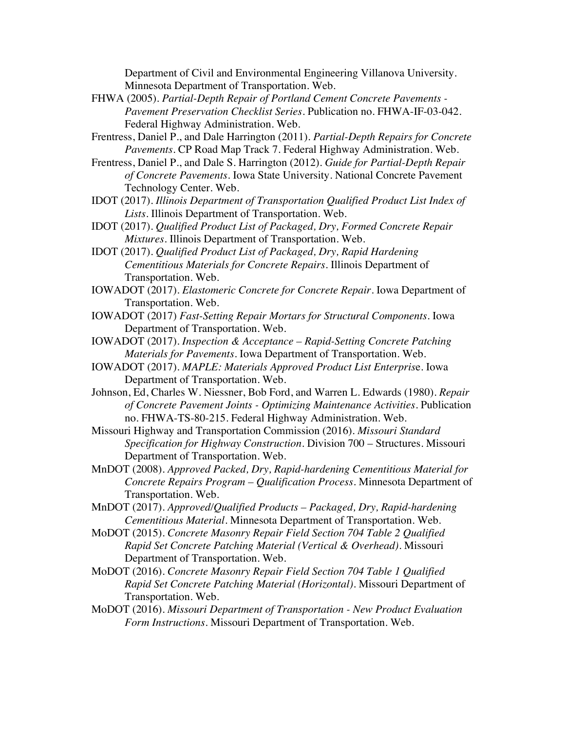Department of Civil and Environmental Engineering Villanova University. Minnesota Department of Transportation. Web.

- FHWA (2005). *Partial-Depth Repair of Portland Cement Concrete Pavements - Pavement Preservation Checklist Series*. Publication no. FHWA-IF-03-042. Federal Highway Administration. Web.
- Frentress, Daniel P., and Dale Harrington (2011). *Partial-Depth Repairs for Concrete Pavements.* CP Road Map Track 7. Federal Highway Administration. Web.
- Frentress, Daniel P., and Dale S. Harrington (2012). *Guide for Partial-Depth Repair of Concrete Pavements.* Iowa State University. National Concrete Pavement Technology Center. Web.
- IDOT (2017). *Illinois Department of Transportation Qualified Product List Index of Lists*. Illinois Department of Transportation. Web.
- IDOT (2017). *Qualified Product List of Packaged, Dry, Formed Concrete Repair Mixtures.* Illinois Department of Transportation. Web.
- IDOT (2017). *Qualified Product List of Packaged, Dry, Rapid Hardening Cementitious Materials for Concrete Repairs*. Illinois Department of Transportation. Web.
- IOWADOT (2017). *Elastomeric Concrete for Concrete Repair*. Iowa Department of Transportation. Web.
- IOWADOT (2017) *Fast-Setting Repair Mortars for Structural Components*. Iowa Department of Transportation. Web.
- IOWADOT (2017). *Inspection & Acceptance – Rapid-Setting Concrete Patching Materials for Pavements.* Iowa Department of Transportation. Web.
- IOWADOT (2017). *MAPLE: Materials Approved Product List Enterpris*e. Iowa Department of Transportation. Web.
- Johnson, Ed, Charles W. Niessner, Bob Ford, and Warren L. Edwards (1980). *Repair of Concrete Pavement Joints - Optimizing Maintenance Activities*. Publication no. FHWA-TS-80-215. Federal Highway Administration. Web.
- Missouri Highway and Transportation Commission (2016). *Missouri Standard Specification for Highway Construction*. Division 700 – Structures. Missouri Department of Transportation. Web.
- MnDOT (2008). *Approved Packed, Dry, Rapid-hardening Cementitious Material for Concrete Repairs Program – Qualification Process*. Minnesota Department of Transportation. Web.
- MnDOT (2017). *Approved/Qualified Products – Packaged, Dry, Rapid-hardening Cementitious Material*. Minnesota Department of Transportation. Web.
- MoDOT (2015). *Concrete Masonry Repair Field Section 704 Table 2 Qualified Rapid Set Concrete Patching Material (Vertical & Overhead).* Missouri Department of Transportation. Web.
- MoDOT (2016). *Concrete Masonry Repair Field Section 704 Table 1 Qualified Rapid Set Concrete Patching Material (Horizontal).* Missouri Department of Transportation. Web.
- MoDOT (2016). *Missouri Department of Transportation - New Product Evaluation Form Instructions*. Missouri Department of Transportation. Web.